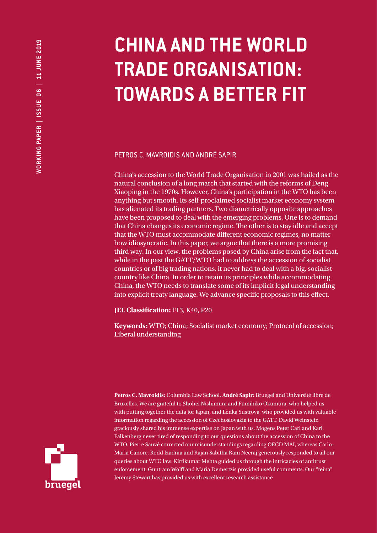# **CHINA AND THE WORLD TRADE ORGANISATION: TOWARDS A BETTER FIT**

PETROS C. MAVROIDIS AND ANDRÉ SAPIR

China's accession to the World Trade Organisation in 2001 was hailed as the natural conclusion of a long march that started with the reforms of Deng Xiaoping in the 1970s. However, China's participation in the WTO has been anything but smooth. Its self-proclaimed socialist market economy system has alienated its trading partners. Two diametrically opposite approaches have been proposed to deal with the emerging problems. One is to demand that China changes its economic regime. The other is to stay idle and accept that the WTO must accommodate different economic regimes, no matter how idiosyncratic. In this paper, we argue that there is a more promising third way. In our view, the problems posed by China arise from the fact that, while in the past the GATT/WTO had to address the accession of socialist countries or of big trading nations, it never had to deal with a big, socialist country like China. In order to retain its principles while accommodating China, the WTO needs to translate some of its implicit legal understanding into explicit treaty language. We advance specific proposals to this effect.

**JEL Classification:** F13, K40, P20

**Keywords:** WTO; China; Socialist market economy; Protocol of accession; Liberal understanding

**Petros C. Mavroidis:** Columbia Law School. **André Sapir:** Bruegel and Université libre de Bruxelles. We are grateful to Shohei Nishimura and Fumihiko Okumura, who helped us with putting together the data for Japan, and Lenka Sustrova, who provided us with valuable information regarding the accession of Czechoslovakia to the GATT. David Weinstein graciously shared his immense expertise on Japan with us. Mogens Peter Carl and Karl Falkenberg never tired of responding to our questions about the accession of China to the WTO. Pierre Sauvé corrected our misunderstandings regarding OECD MAI, whereas Carlo-Maria Canore, Rodd Izadnia and Rajan Sabitha Rani Neeraj generously responded to all our queries about WTO law. Kirtikumar Mehta guided us through the intricacies of antitrust enforcement. Guntram Wolff and Maria Demertzis provided useful comments. Our "teina" Jeremy Stewart has provided us with excellent research assistance

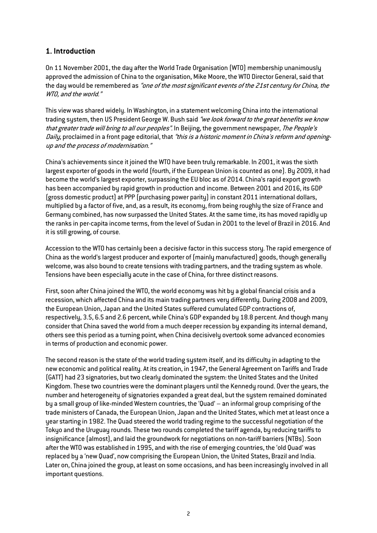# **1. Introduction**

On 11 November 2001, the day after the World Trade Organisation (WTO) membership unanimously approved the admission of China to the organisation, Mike Moore, the WTO Director General, said that the day would be remembered as "one of the most significant events of the 21st century for China, the WTO, and the world."

This view was shared widely. In Washington, in a statement welcoming China into the international trading system, then US President George W. Bush said "we look forward to the great benefits we know that greater trade will bring to all our peoples". In Beijing, the government newspaper, The People's Daily, proclaimed in a front page editorial, that "this is a historic moment in China's reform and openingup and the process of modernisation."

China's achievements since it joined the WTO have been truly remarkable. In 2001, it was the sixth largest exporter of goods in the world (fourth, if the European Union is counted as one). By 2009, it had become the world's largest exporter, surpassing the EU bloc as of 2014. China's rapid export growth has been accompanied by rapid growth in production and income. Between 2001 and 2016, its GDP (gross domestic product) at PPP (purchasing power parity) in constant 2011 international dollars, multiplied by a factor of five, and, as a result, its economy, from being roughly the size of France and Germany combined, has now surpassed the United States. At the same time, its has moved rapidly up the ranks in per-capita income terms, from the level of Sudan in 2001 to the level of Brazil in 2016. And it is still growing, of course.

Accession to the WTO has certainly been a decisive factor in this success story. The rapid emergence of China as the world's largest producer and exporter of (mainly manufactured) goods, though generally welcome, was also bound to create tensions with trading partners, and the trading system as whole. Tensions have been especially acute in the case of China, for three distinct reasons.

First, soon after China joined the WTO, the world economy was hit by a global financial crisis and a recession, which affected China and its main trading partners very differently. During 2008 and 2009, the European Union, Japan and the United States suffered cumulated GDP contractions of, respectively, 3.5, 6.5 and 2.6 percent, while China's GDP expanded by 18.8 percent. And though many consider that China saved the world from a much deeper recession by expanding its internal demand, others see this period as a turning point, when China decisively overtook some advanced economies in terms of production and economic power.

The second reason is the state of the world trading system itself, and its difficulty in adapting to the new economic and political reality. At its creation, in 1947, the General Agreement on Tariffs and Trade (GATT) had 23 signatories, but two clearly dominated the system: the United States and the United Kingdom. These two countries were the dominant players until the Kennedy round. Over the years, the number and heterogeneity of signatories expanded a great deal, but the system remained dominated by a small group of like-minded Western countries, the 'Quad' – an informal group comprising of the trade ministers of Canada, the European Union, Japan and the United States, which met at least once a year starting in 1982. The Quad steered the world trading regime to the successful negotiation of the Tokyo and the Uruguay rounds. These two rounds completed the tariff agenda, by reducing tariffs to insignificance (almost), and laid the groundwork for negotiations on non-tariff barriers (NTBs). Soon after the WTO was established in 1995, and with the rise of emerging countries, the 'old Quad' was replaced by a 'new Quad', now comprising the European Union, the United States, Brazil and India. Later on, China joined the group, at least on some occasions, and has been increasingly involved in all important questions.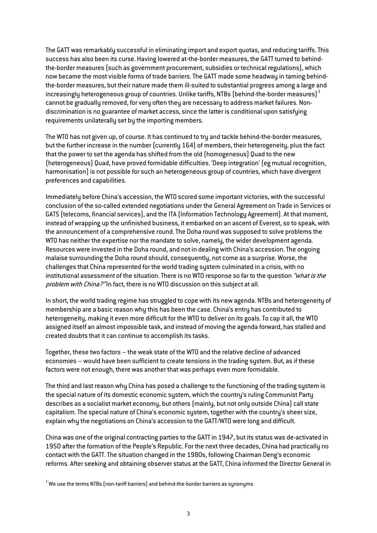The GATT was remarkably successful in eliminating import and export quotas, and reducing tariffs. This success has also been its curse. Having lowered at-the-border measures, the GATT turned to behindthe-border measures (such as government procurement, subsidies or technical regulations), which now became the most visible forms of trade barriers. The GATT made some headway in taming behindthe-border measures, but their nature made them ill-suited to substantial progress among a large and increasingly heterogeneous group of countries. Unlike tariffs, NTBs (behind-the-border measures) $^1$  $^1$ cannot be gradually removed, for very often they are necessary to address market failures. Nondiscrimination is no guarantee of market access, since the latter is conditional upon satisfying requirements unilaterally set by the importing members.

The WTO has not given up, of course. It has continued to try and tackle behind-the-border measures, but the further increase in the number (currently 164) of members, their heterogeneity, plus the fact that the power to set the agenda has shifted from the old (homogeneous) Quad to the new (heterogeneous) Quad, have proved formidable difficulties. 'Deep integration' (eg mutual recognition, harmonisation) is not possible for such an heterogeneous group of countries, which have divergent preferences and capabilities.

Immediately before China's accession, the WTO scored some important victories, with the successful conclusion of the so-called extended negotiations under the General Agreement on Trade in Services or GATS (telecoms, financial services), and the ITA (Information Technology Agreement). At that moment, instead of wrapping up the unfinished business, it embarked on an ascent of Everest, so to speak, with the announcement of a comprehensive round. The Doha round was supposed to solve problems the WTO has neither the expertise nor the mandate to solve, namely, the wider development agenda. Resources were invested in the Doha round, and not in dealing with China's accession. The ongoing malaise surrounding the Doha round should, consequently, not come as a surprise. Worse, the challenges that China represented for the world trading system culminated in a crisis, with no institutional assessment of the situation. There is no WTO response so far to the question "what is the problem with China?" In fact, there is no WTO discussion on this subject at all.

In short, the world trading regime has struggled to cope with its new agenda. NTBs and heterogeneity of membership are a basic reason why this has been the case. China's entry has contributed to heterogeneity, making it even more difficult for the WTO to deliver on its goals. To cap it all, the WTO assigned itself an almost impossible task, and instead of moving the agenda forward, has stalled and created doubts that it can continue to accomplish its tasks.

Together, these two factors – the weak state of the WTO and the relative decline of advanced economies – would have been sufficient to create tensions in the trading system. But, as if these factors were not enough, there was another that was perhaps even more formidable.

The third and last reason why China has posed a challenge to the functioning of the trading system is the special nature of its domestic economic system, which the country's ruling Communist Party describes as a socialist market economy, but others (mainly, but not only outside China) call state capitalism. The special nature of China's economic system, together with the country's sheer size, explain why the negotiations on China's accession to the GATT/WTO were long and difficult.

China was one of the original contracting parties to the GATT in 1947, but its status was de-activated in 1950 after the formation of the People's Republic. For the next three decades, China had practically no contact with the GATT. The situation changed in the 1980s, following Chairman Deng's economic reforms. After seeking and obtaining observer status at the GATT, China informed the Director General in

<span id="page-2-0"></span> $1$  We use the terms NTBs (non-tariff barriers) and behind-the-border barriers as synonyms.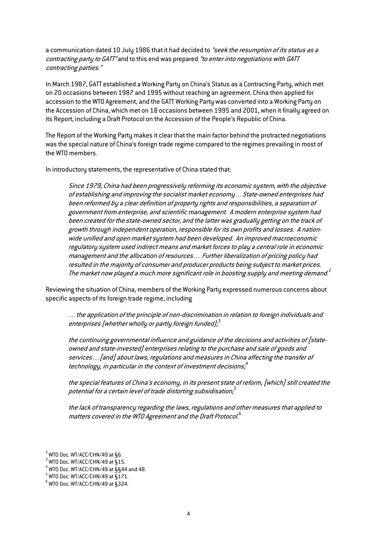a communication dated 10 July 1986 that it had decided to "seek the resumption of its status as a contracting party to GATT" and to this end was prepared "to enter into negotiations with GATT contracting parties."

In March 1987, GATT established a Working Party on China's Status as a Contracting Party, which met on 20 occasions between 1987 and 1995 without reaching an agreement. China then applied for accession to the WTO Agreement, and the GATT Working Party was converted into a Working Party on the Accession of China, which met on 18 occasions between 1995 and 2001, when it finally agreed on its Report, including a Draft Protocol on the Accession of the People's Republic of China.

The Report of the Working Party makes it clear that the main factor behind the protracted negotiations was the special nature of China's foreign trade regime compared to the regimes prevailing in most of the WTO members.

In introductory statements, the representative of China stated that:

Since 1979, China had been progressively reforming its economic system, with the objective of establishing and improving the socialist market economy…State-owned enterprises had been reformed by a clear definition of property rights and responsibilities, a separation of government from enterprise, and scientific management. A modern enterprise system had been created for the state-owned sector, and the latter was gradually getting on the track of growth through independent operation, responsible for its own profits and losses. A nationwide unified and open market system had been developed. An improved macroeconomic regulatory system used indirect means and market forces to play a central role in economic management and the allocation of resources… Further liberalization of pricing policy had resulted in the majority of consumer and producer products being subject to market prices. The market now played a much more significant role in boosting supply and meeting demand. $^2$  $^2$ 

Reviewing the situation of China, members of the Working Party expressed numerous concerns about specific aspects of its foreign trade regime, including

…the application of the principle of non-discrimination in relation to foreign individuals and enterprises (whether wholly or partly foreign funded); $^3$  $^3$ 

the continuing governmental influence and guidance of the decisions and activities of [stateowned and state-invested] enterprises relating to the purchase and sale of goods and services…[and] about laws, regulations and measures in China affecting the transfer of technology, in particular in the context of investment decisions; $^4$  $^4$ 

the special features of China's economy, in its present state of reform, [which] still created the potential for a certain level of trade distorting subsidisation; [5](#page-3-3)

the lack of transparency regarding the laws, regulations and other measures that applied to matters covered in the WTO Agreement and the Draft Protocol.<sup>[6](#page-3-4)</sup>

 $2$  WTO Doc. WT/ACC/CHN/49 at §6.

<span id="page-3-1"></span><span id="page-3-0"></span> $3$  WTO Doc. WT/ACC/CHN/49 at  $\bar{\$}$ 15.

 $4$  WTO Doc. WT/ACC/CHN/49 at  $\S$ §44 and 48.

<span id="page-3-3"></span><span id="page-3-2"></span> $<sup>5</sup>$  WTO Doc. WT/ACC/CHN/49 at §171.</sup>

<span id="page-3-4"></span> $6$  WTO Doc. WT/ACC/CHN/49 at §324.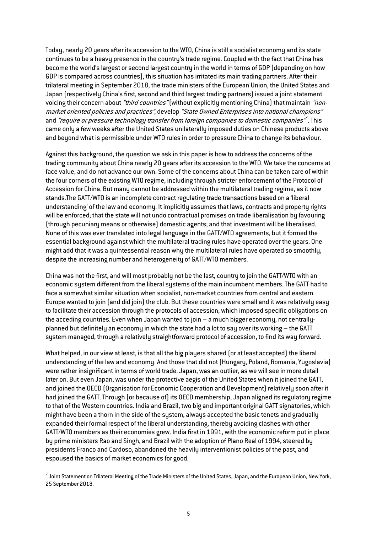Today, nearly 20 years after its accession to the WTO, China is still a socialist economy and its state continues to be a heavy presence in the country's trade regime. Coupled with the fact that China has become the world's largest or second largest country in the world in terms of GDP (depending on how GDP is compared across countries), this situation has irritated its main trading partners. After their trilateral meeting in September 2018, the trade ministers of the European Union, the United States and Japan (respectively China's first, second and third largest trading partners) issued a joint statement voicing their concern about "*third countries*" (without explicitly mentioning China) that maintain "nonmarket oriented policies and practices", develop "State Owned Enterprises into national champions" and *"require or pressure technology transfer from foreign companies to domestic companies<sup>",</sup> This* came only a few weeks after the United States unilaterally imposed duties on Chinese products above and beyond what is permissible under WTO rules in order to pressure China to change its behaviour.

Against this background, the question we ask in this paper is how to address the concerns of the trading community about China nearly 20 years after its accession to the WTO. We take the concerns at face value, and do not advance our own. Some of the concerns about China can be taken care of within the four corners of the existing WTO regime, including through stricter enforcement of the Protocol of Accession for China. But many cannot be addressed within the multilateral trading regime, as it now stands.The GATT/WTO is an incomplete contract regulating trade transactions based on a 'liberal understanding' of the law and economy. It implicitly assumes that laws, contracts and property rights will be enforced; that the state will not undo contractual promises on trade liberalisation by favouring (through pecuniary means or otherwise) domestic agents; and that investment will be liberalised. None of this was ever translated into legal language in the GATT/WTO agreements, but it formed the essential background against which the multilateral trading rules have operated over the years. One might add that it was a quintessential reason why the multilateral rules have operated so smoothly, despite the increasing number and heterogeneity of GATT/WTO members.

China was not the first, and will most probably not be the last, country to join the GATT/WTO with an economic system different from the liberal systems of the main incumbent members. The GATT had to face a somewhat similar situation when socialist, non-market countries from central and eastern Europe wanted to join (and did join) the club. But these countries were small and it was relatively easy to facilitate their accession through the protocols of accession, which imposed specific obligations on the acceding countries. Even when Japan wanted to join – a much bigger economy, not centrallyplanned but definitely an economy in which the state had a lot to say over its working – the GATT system managed, through a relatively straightforward protocol of accession, to find its way forward.

What helped, in our view at least, is that all the big players shared (or at least accepted) the liberal understanding of the law and economy. And those that did not (Hungary, Poland, Romania, Yugoslavia) were rather insignificant in terms of world trade. Japan, was an outlier, as we will see in more detail later on. But even Japan, was under the protective aegis of the United States when it joined the GATT, and joined the OECD (Organisation for Economic Cooperation and Development) relatively soon after it had joined the GATT. Through (or because of) its OECD membership, Japan aligned its regulatory regime to that of the Western countries. India and Brazil, two big and important original GATT signatories, which might have been a thorn in the side of the system, always accepted the basic tenets and gradually expanded their formal respect of the liberal understanding, thereby avoiding clashes with other GATT/WTO members as their economies grew. India first in 1991, with the economic reform put in place by prime ministers Rao and Singh, and Brazil with the adoption of Plano Real of 1994, steered by presidents Franco and Cardoso, abandoned the heavily interventionist policies of the past, and espoused the basics of market economics for good.

<span id="page-4-0"></span><sup>&</sup>lt;sup>7</sup> Joint Statement on Trilateral Meeting of the Trade Ministers of the United States, Japan, and the European Union, New York, 25 September 2018.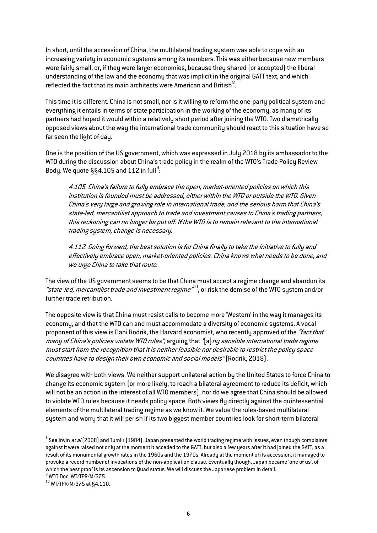In short, until the accession of China, the multilateral trading system was able to cope with an increasing variety in economic systems among its members. This was either because new members were fairly small, or, if they were larger economies, because they shared (or accepted) the liberal understanding of the law and the economy that was implicit in the original GATT text, and which reflected the fact that its main architects were American and British $^8$  $^8$ .

This time it is different. China is not small, nor is it willing to reform the one-party political system and everything it entails in terms of state participation in the working of the economy, as many of its partners had hoped it would within a relatively short period after joining the WTO. Two diametrically opposed views about the way the international trade community should react to this situation have so far seen the light of day.

One is the position of the US government, which was expressed in July 2018 by its ambassador to the WTO during the discussion about China's trade policy in the realm of the WTO's Trade Policy Review Body. We quote  $\S$ §4.105 and 112 in full<sup>[9](#page-5-1)</sup>:

4.105. China's failure to fully embrace the open, market-oriented policies on which this institution is founded must be addressed, either within the WTO or outside the WTO. Given China's very large and growing role in international trade, and the serious harm that China's state-led, mercantilist approach to trade and investment causes to China's trading partners, this reckoning can no longer be put off. If the WTO is to remain relevant to the international trading system, change is necessary.

4.112. Going forward, the best solution is for China finally to take the initiative to fully and effectively embrace open, market-oriented policies. China knows what needs to be done, and we urge China to take that route.

The view of the US government seems to be that China must accept a regime change and abandon its "state-led, mercantilist trade and investment regime<sup>"10</sup>, or risk the demise of the WTO system and/or further trade retribution.

The opposite view is that China must resist calls to become more 'Western' in the way it manages its economy, and that the WTO can and must accommodate a diversity of economic systems. A vocal proponent of this view is Dani Rodrik, the Harvard economist, who recently approved of the "fact that many of China's policies violate WTO rules", arguing that "[a] ny sensible international trade regime must start from the recognition that it is neither feasible nor desirable to restrict the policy space countries have to design their own economic and social models" (Rodrik, 2018).

We disagree with both views. We neither support unilateral action by the United States to force China to change its economic system (or more likely, to reach a bilateral agreement to reduce its deficit, which will not be an action in the interest of all WTO members), nor do we agree that China should be allowed to violate WTO rules because it needs policy space. Both views fly directly against the quintessential elements of the multilateral trading regime as we know it. We value the rules-based multilateral system and worry that it will perish if its two biggest member countries look for short-term bilateral

<span id="page-5-0"></span> $8$  See Irwin *et al* (2008) and Tumlir (1984). Japan presented the world trading regime with issues, even though complaints against it were raised not only at the moment it acceded to the GATT, but also a few years after it had joined the GATT, as a result of its monumental growth rates in the 1960s and the 1970s. Already at the moment of its accession, it managed to provoke a record number of invocations of the non-application clause. Eventually though, Japan became 'one of us', of which the best proof is its ascension to Quad status. We will discuss the Japanese problem in detail.  $^9$  WTO Doc. WT/TPR/M/375.

<span id="page-5-2"></span><span id="page-5-1"></span><sup>10</sup> WT/TPR/M/375 at §4.110.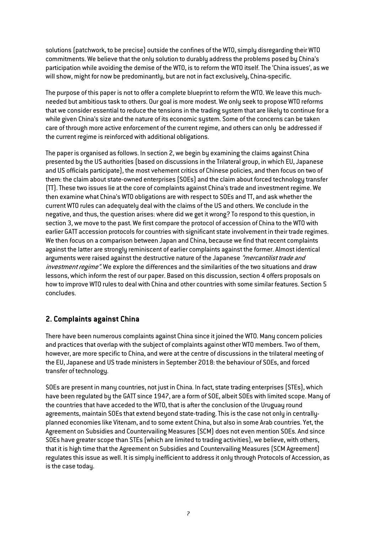solutions (patchwork, to be precise) outside the confines of the WTO, simply disregarding their WTO commitments. We believe that the only solution to durably address the problems posed by China's participation while avoiding the demise of the WTO, is to reform the WTO itself. The 'China issues', as we will show, might for now be predominantly, but are not in fact exclusively, China-specific.

The purpose of this paper is not to offer a complete blueprint to reform the WTO. We leave this muchneeded but ambitious task to others. Our goal is more modest. We only seek to propose WTO reforms that we consider essential to reduce the tensions in the trading system that are likely to continue for a while given China's size and the nature of its economic system. Some of the concerns can be taken care of through more active enforcement of the current regime, and others can only be addressed if the current regime is reinforced with additional obligations.

The paper is organised as follows. In section 2, we begin by examining the claims against China presented by the US authorities (based on discussions in the Trilateral group, in which EU, Japanese and US officials participate), the most vehement critics of Chinese policies, and then focus on two of them: the claim about state-owned enterprises (SOEs) and the claim about forced technology transfer (TT). These two issues lie at the core of complaints against China's trade and investment regime. We then examine what China's WTO obligations are with respect to SOEs and TT, and ask whether the current WTO rules can adequately deal with the claims of the US and others. We conclude in the negative, and thus, the question arises: where did we get it wrong? To respond to this question, in section 3, we move to the past. We first compare the protocol of accession of China to the WTO with earlier GATT accession protocols for countries with significant state involvement in their trade regimes. We then focus on a comparison between Japan and China, because we find that recent complaints against the latter are strongly reminiscent of earlier complaints against the former. Almost identical arguments were raised against the destructive nature of the Japanese "mercantilist trade and investment regime". We explore the differences and the similarities of the two situations and draw lessons, which inform the rest of our paper. Based on this discussion, section 4 offers proposals on how to improve WTO rules to deal with China and other countries with some similar features. Section 5 concludes.

# **2. Complaints against China**

There have been numerous complaints against China since it joined the WTO. Many concern policies and practices that overlap with the subject of complaints against other WTO members. Two of them, however, are more specific to China, and were at the centre of discussions in the trilateral meeting of the EU, Japanese and US trade ministers in September 2018: the behaviour of SOEs, and forced transfer of technology.

SOEs are present in many countries, not just in China. In fact, state trading enterprises (STEs), which have been regulated by the GATT since 1947, are a form of SOE, albeit SOEs with limited scope. Many of the countries that have acceded to the WTO, that is after the conclusion of the Uruguay round agreements, maintain SOEs that extend beyond state-trading. This is the case not only in centrallyplanned economies like Vitenam, and to some extent China, but also in some Arab countries. Yet, the Agreement on Subsidies and Countervailing Measures (SCM) does not even mention SOEs. And since SOEs have greater scope than STEs (which are limited to trading activities), we believe, with others, that it is high time that the Agreement on Subsidies and Countervailing Measures (SCM Agreement) regulates this issue as well. It is simply inefficient to address it only through Protocols of Accession, as is the case today.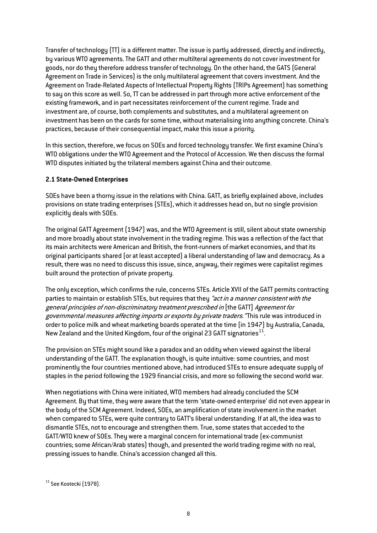Transfer of technology (TT) is a different matter. The issue is partly addressed, directly and indirectly, by various WTO agreements. The GATT and other multilteral agreements do not cover investment for goods, nor do they therefore address transfer of technology. On the other hand, the GATS (General Agreement on Trade in Services) is the only multilateral agreement that covers investment. And the Agreement on Trade-Related Aspects of Intellectual Property Rights (TRIPs Agreement) has something to say on this score as well. So, TT can be addressed in part through more active enforcement of the existing framework, and in part necessitates reinforcement of the current regime. Trade and investment are, of course, both complements and substitutes, and a multilateral agreement on investment has been on the cards for some time, without materialising into anything concrete. China's practices, because of their consequential impact, make this issue a priority.

In this section, therefore, we focus on SOEs and forced technology transfer. We first examine China's WTO obligations under the WTO Agreement and the Protocol of Accession. We then discuss the formal WTO disputes initiated by the trilateral members against China and their outcome.

#### **2.1 State-Owned Enterprises**

SOEs have been a thorny issue in the relations with China. GATT, as briefly explained above, includes provisions on state trading enterprises (STEs), which it addresses head on, but no single provision explicitly deals with SOEs.

The original GATT Agreement (1947) was, and the WTO Agreement is still, silent about state ownership and more broadly about state involvement in the trading regime. This was a reflection of the fact that its main architects were American and British, the front-runners of market economies, and that its original participants shared (or at least accepted) a liberal understanding of law and democracy. As a result, there was no need to discuss this issue, since, anyway, their regimes were capitalist regimes built around the protection of private property.

The only exception, which confirms the rule, concerns STEs. Article XVII of the GATT permits contracting parties to maintain or establish STEs, but requires that they "act in a manner consistent with the general principles of non-discriminatory treatment prescribed in [the GATT] Agreement for governmental measures affecting imports or exports by private traders. "This rule was introduced in order to police milk and wheat marketing boards operated at the time (in 1947) by Australia, Canada, New Zealand and the United Kingdom, four of the original 23 GATT signatories<sup>[11](#page-7-0)</sup>.

The provision on STEs might sound like a paradox and an oddity when viewed against the liberal understanding of the GATT. The explanation though, is quite intuitive: some countries, and most prominently the four countries mentioned above, had introduced STEs to ensure adequate supply of staples in the period following the 1929 financial crisis, and more so following the second world war.

When negotiations with China were initiated, WTO members had already concluded the SCM Agreement. By that time, they were aware that the term 'state-owned enterprise' did not even appear in the body of the SCM Agreement. Indeed, SOEs, an amplification of state involvement in the market when compared to STEs, were quite contrary to GATT's liberal understanding. If at all, the idea was to dismantle STEs, not to encourage and strengthen them. True, some states that acceded to the GATT/WTO knew of SOEs. They were a marginal concern for international trade (ex-communist countries; some African/Arab states) though, and presented the world trading regime with no real, pressing issues to handle. China's accession changed all this.

<span id="page-7-0"></span><sup>&</sup>lt;sup>11</sup> See Kostecki (1978).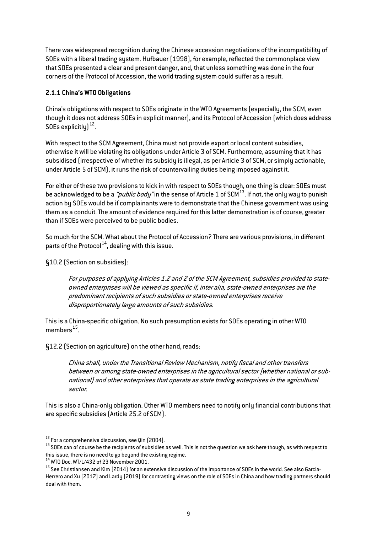There was widespread recognition during the Chinese accession negotiations of the incompatibility of SOEs with a liberal trading system. Hufbauer (1998), for example, reflected the commonplace view that SOEs presented a clear and present danger, and, that unless something was done in the four corners of the Protocol of Accession, the world trading system could suffer as a result.

#### **2.1.1 China's WTO Obligations**

China's obligations with respect to SOEs originate in the WTO Agreements (especially, the SCM, even though it does not address SOEs in explicit manner), and its Protocol of Accession (which does address SOEs explicitly $1^{12}$  $1^{12}$  $1^{12}$ .

With respect to the SCM Agreement, China must not provide export or local content subsidies, otherwise it will be violating its obligations under Article 3 of SCM. Furthermore, assuming that it has subsidised (irrespective of whether its subsidy is illegal, as per Article 3 of SCM, or simply actionable, under Article 5 of SCM), it runs the risk of countervailing duties being imposed against it.

For either of these two provisions to kick in with respect to SOEs though, one thing is clear: SOEs must be acknowledged to be a "*public body*" in the sense of Article 1 of SCM<sup>[13](#page-8-1)</sup>. If not, the only way to punish action by SOEs would be if complainants were to demonstrate that the Chinese government was using them as a conduit. The amount of evidence required for this latter demonstration is of course, greater than if SOEs were perceived to be public bodies.

So much for the SCM. What about the Protocol of Accession? There are various provisions, in different parts of the Protocol $^{14}$ , dealing with this issue.

§10.2 (Section on subsidies):

For purposes of applying Articles 1.2 and 2 of the SCM Agreement, subsidies provided to stateowned enterprises will be viewed as specific if, inter alia, state-owned enterprises are the predominant recipients of such subsidies or state-owned enterprises receive disproportionately large amounts of such subsidies.

This is a China-specific obligation. No such presumption exists for SOEs operating in other WTO members $^{15}$ .

§12.2 (Section on agriculture) on the other hand, reads:

China shall, under the Transitional Review Mechanism, notify fiscal and other transfers between or among state-owned enterprises in the agricultural sector (whether national or subnational) and other enterprises that operate as state trading enterprises in the agricultural sector.

This is also a China-only obligation. Other WTO members need to notify only financial contributions that are specific subsidies (Article 25.2 of SCM).

<span id="page-8-1"></span><span id="page-8-0"></span> $^{12}$  For a comprehensive discussion, see Qin (2004).<br> $^{13}$  SOEs can of course be the recipients of subsidies as well. This is not the question we ask here though, as with respect to this issue, there is no need to go beyond the existing regime.<br><sup>14</sup> WTO Doc. WT/L/432 of 23 November 2001.

<span id="page-8-3"></span><span id="page-8-2"></span> $^{15}$  See Christiansen and Kim (2014) for an extensive discussion of the importance of SOEs in the world. See also Garcia-Herrero and Xu (2017) and Lardy (2019) for contrasting views on the role of SOEs in China and how trading partners should deal with them.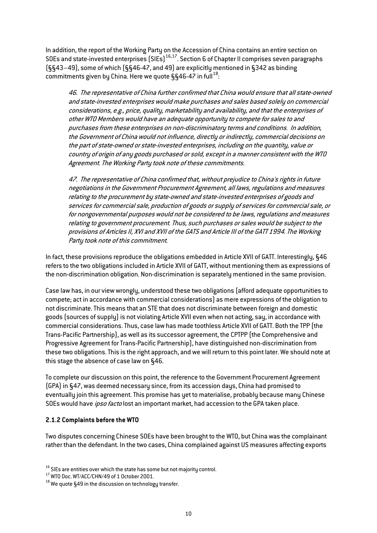In addition, the report of the Working Party on the Accession of China contains an entire section on SOEs and state-invested enterprises (SIEs)<sup>[16,](#page-9-0)17</sup>. Section 6 of Chapter II comprises seven paragraphs (§§43–49), some of which (§§46-47, and 49) are explicitly mentioned in §342 as binding commitments given by China. Here we quote  $\S$ §46-47 in full<sup>[18](#page-9-2)</sup>:

46. The representative of China further confirmed that China would ensure that all state-owned and state-invested enterprises would make purchases and sales based solely on commercial considerations, e.g., price, quality, marketability and availability, and that the enterprises of other WTO Members would have an adequate opportunity to compete for sales to and purchases from these enterprises on non-discriminatory terms and conditions. In addition, the Government of China would not influence, directly or indirectly, commercial decisions on the part of state-owned or state-invested enterprises, including on the quantity, value or country of origin of any goods purchased or sold, except in a manner consistent with the WTO Agreement. The Working Party took note of these commitments.

47. The representative of China confirmed that, without prejudice to China's rights in future negotiations in the Government Procurement Agreement, all laws, regulations and measures relating to the procurement by state-owned and state-invested enterprises of goods and services for commercial sale, production of goods or supply of services for commercial sale, or for nongovernmental purposes would not be considered to be laws, regulations and measures relating to government procurement. Thus, such purchases or sales would be subject to the provisions of Articles II, XVI and XVII of the GATS and Article III of the GATT 1994. The Working Party took note of this commitment.

In fact, these provisions reproduce the obligations embedded in Article XVII of GATT. Interestingly, §46 refers to the two obligations included in Article XVII of GATT, without mentioning them as expressions of the non-discrimination obligation. Non-discrimination is separately mentioned in the same provision.

Case law has, in our view wrongly, understood these two obligations (afford adequate opportunities to compete; act in accordance with commercial considerations) as mere expressions of the obligation to not discriminate. This means that an STE that does not discriminate between foreign and domestic goods (sources of supply) is not violating Article XVII even when not acting, say, in accordance with commercial considerations. Thus, case law has made toothless Article XVII of GATT. Both the TPP (the Trans-Pacific Partnership), as well as its successor agreement, the CPTPP (the Comprehensive and Progressive Agreement for Trans-Pacific Partnership), have distinguished non-discrimination from these two obligations. This is the right approach, and we will return to this point later. We should note at this stage the absence of case law on §46.

To complete our discussion on this point, the reference to the Government Procurement Agreement (GPA) in §47, was deemed necessary since, from its accession days, China had promised to eventually join this agreement. This promise has yet to materialise, probably because many Chinese SOEs would have ipso facto lost an important market, had accession to the GPA taken place.

#### **2.1.2 Complaints before the WTO**

Two disputes concerning Chinese SOEs have been brought to the WTO, but China was the complainant rather than the defendant. In the two cases, China complained against US measures affecting exports

<span id="page-9-1"></span><span id="page-9-0"></span><sup>&</sup>lt;sup>16</sup> SIEs are entities over which the state has some but not majority control.<br><sup>17</sup> WTO Doc. WT/ACC/CHN/49 of 1 October 2001.<br><sup>18</sup> We quote §49 in the discussion on technology transfer.

<span id="page-9-2"></span>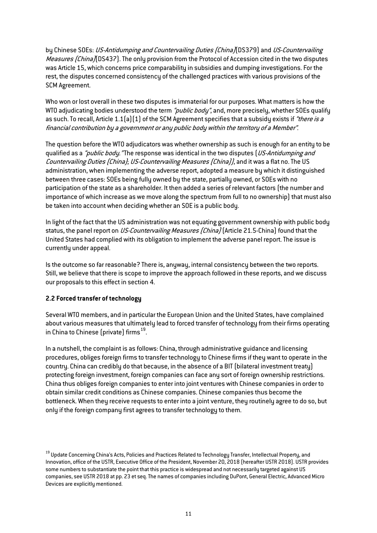by Chinese SOEs: US-Antidumping and Countervailing Duties (China)(DS379) and US-Countervailing Measures (China)(DS437). The only provision from the Protocol of Accession cited in the two disputes was Article 15, which concerns price comparability in subsidies and dumping investigations. For the rest, the disputes concerned consistency of the challenged practices with various provisions of the SCM Agreement.

Who won or lost overall in these two disputes is immaterial for our purposes. What matters is how the WTO adjudicating bodies understood the term "*public body*", and, more precisely, whether SOEs qualify as such. To recall, Article 1.1(a)(1) of the SCM Agreement specifies that a subsidy exists if "there is a financial contribution by a government or any public body within the territory of a Member".

The question before the WTO adjudicators was whether ownership as such is enough for an entity to be qualified as a "*public body.*"The response was identical in the two disputes (US-Antidumping and Countervailing Duties (China); US-Countervailing Measures (China)), and it was a flat no. The US administration, when implementing the adverse report, adopted a measure by which it distinguished between three cases: SOEs being fully owned by the state, partially owned, or SOEs with no participation of the state as a shareholder. It then added a series of relevant factors (the number and importance of which increase as we move along the spectrum from full to no ownership) that must also be taken into account when deciding whether an SOE is a public body.

In light of the fact that the US administration was not equating government ownership with public body status, the panel report on *US-Countervailing Measures (China)* (Article 21.5-China) found that the United States had complied with its obligation to implement the adverse panel report. The issue is currently under appeal.

Is the outcome so far reasonable? There is, anyway, internal consistency between the two reports. Still, we believe that there is scope to improve the approach followed in these reports, and we discuss our proposals to this effect in section 4.

#### **2.2 Forced transfer of technology**

Several WTO members, and in particular the European Union and the United States, have complained about various measures that ultimately lead to forced transfer of technology from their firms operating in China to Chinese (private) firms  $19$ .

In a nutshell, the complaint is as follows: China, through administrative guidance and licensing procedures, obliges foreign firms to transfer technology to Chinese firms if they want to operate in the country. China can credibly do that because, in the absence of a BIT (bilateral investment treaty) protecting foreign investment, foreign companies can face any sort of foreign ownership restrictions. China thus obliges foreign companies to enter into joint ventures with Chinese companies in order to obtain similar credit conditions as Chinese companies. Chinese companies thus become the bottleneck. When they receive requests to enter into a joint venture, they routinely agree to do so, but only if the foreign company first agrees to transfer technology to them.

<span id="page-10-0"></span><sup>&</sup>lt;sup>19</sup> Update Concerning China's Acts, Policies and Practices Related to Technology Transfer, Intellectual Property, and Innovation, office of the USTR, Executive Office of the President, November 20, 2018 (hereafter USTR 2018). USTR provides some numbers to substantiate the point that this practice is widespread and not necessarily targeted against US companies, see USTR 2018 at pp. 23 et seq. The names of companies including DuPont, General Electric, Advanced Micro Devices are explicitly mentioned.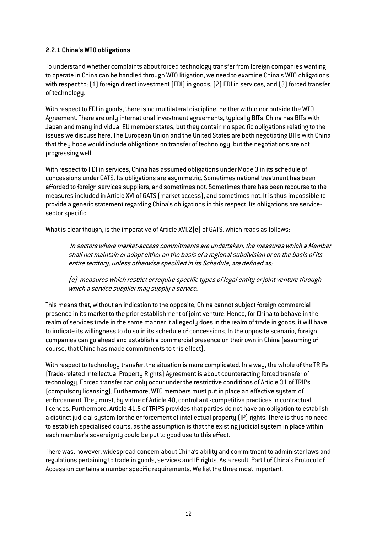# **2.2.1 China's WTO obligations**

To understand whether complaints about forced technology transfer from foreign companies wanting to operate in China can be handled through WTO litigation, we need to examine China's WTO obligations with respect to: (1) foreign direct investment (FDI) in goods, (2) FDI in services, and (3) forced transfer of technology.

With respect to FDI in goods, there is no multilateral discipline, neither within nor outside the WTO Agreement. There are only international investment agreements, typically BITs. China has BITs with Japan and many individual EU member states, but they contain no specific obligations relating to the issues we discuss here. The European Union and the United States are both negotiating BITs with China that they hope would include obligations on transfer of technology, but the negotiations are not progressing well.

With respect to FDI in services, China has assumed obligations under Mode 3 in its schedule of concessions under GATS. Its obligations are asymmetric. Sometimes national treatment has been afforded to foreign services suppliers, and sometimes not. Sometimes there has been recourse to the measures included in Article XVI of GATS (market access), and sometimes not. It is thus impossible to provide a generic statement regarding China's obligations in this respect. Its obligations are servicesector specific.

What is clear though, is the imperative of Article XVI.2(e) of GATS, which reads as follows:

In sectors where market-access commitments are undertaken, the measures which a Member shall not maintain or adopt either on the basis of a regional subdivision or on the basis of its entire territory, unless otherwise specified in its Schedule, are defined as:

(e) measures which restrict or require specific types of legal entity or joint venture through which a service supplier may supply a service.

This means that, without an indication to the opposite, China cannot subject foreign commercial presence in its market to the prior establishment of joint venture. Hence, for China to behave in the realm of services trade in the same manner it allegedly does in the realm of trade in goods, it will have to indicate its willingness to do so in its schedule of concessions. In the opposite scenario, foreign companies can go ahead and establish a commercial presence on their own in China (assuming of course, that China has made commitments to this effect).

With respect to technology transfer, the situation is more complicated. In a way, the whole of the TRIPs (Trade-related Intellectual Property Rights) Agreement is about counteracting forced transfer of technology. Forced transfer can only occur under the restrictive conditions of Article 31 of TRIPs (compulsory licensing). Furthermore, WTO members must put in place an effective system of enforcement. They must, by virtue of Article 40, control anti-competitive practices in contractual licences. Furthermore, Article 41.5 of TRIPS provides that parties do not have an obligation to establish a distinct judicial system for the enforcement of intellectual property (IP) rights. There is thus no need to establish specialised courts, as the assumption is that the existing judicial system in place within each member's sovereignty could be put to good use to this effect.

There was, however, widespread concern about China's ability and commitment to administer laws and regulations pertaining to trade in goods, services and IP rights. As a result, Part I of China's Protocol of Accession contains a number specific requirements. We list the three most important.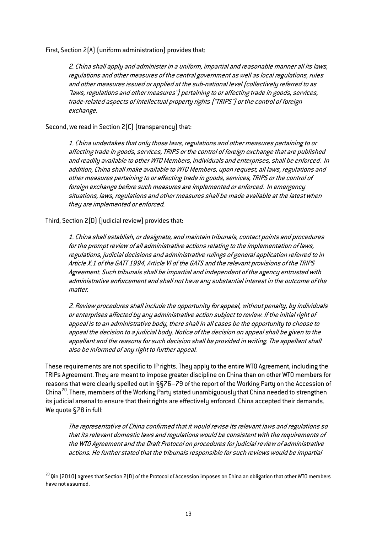First, Section 2(A) (uniform administration) provides that:

2. China shall apply and administer in a uniform, impartial and reasonable manner all its laws, regulations and other measures of the central government as well as local regulations, rules and other measures issued or applied at the sub-national level (collectively referred to as "laws, regulations and other measures") pertaining to or affecting trade in goods, services, trade-related aspects of intellectual property rights ("TRIPS") or the control of foreign exchange.

Second, we read in Section 2(C) (transparency) that:

1. China undertakes that only those laws, regulations and other measures pertaining to or affecting trade in goods, services, TRIPS or the control of foreign exchange that are published and readily available to other WTO Members, individuals and enterprises, shall be enforced. In addition, China shall make available to WTO Members, upon request, all laws, regulations and other measures pertaining to or affecting trade in goods, services, TRIPS or the control of foreign exchange before such measures are implemented or enforced. In emergency situations, laws, regulations and other measures shall be made available at the latest when they are implemented or enforced.

Third, Section 2(D) (judicial review) provides that:

1. China shall establish, or designate, and maintain tribunals, contact points and procedures for the prompt review of all administrative actions relating to the implementation of laws, regulations, judicial decisions and administrative rulings of general application referred to in Article X:1 of the GATT 1994, Article VI of the GATS and the relevant provisions of the TRIPS Agreement. Such tribunals shall be impartial and independent of the agency entrusted with administrative enforcement and shall not have any substantial interest in the outcome of the matter.

2. Review procedures shall include the opportunity for appeal, without penalty, by individuals or enterprises affected by any administrative action subject to review. If the initial right of appeal is to an administrative body, there shall in all cases be the opportunity to choose to appeal the decision to a judicial body. Notice of the decision on appeal shall be given to the appellant and the reasons for such decision shall be provided in writing. The appellant shall also be informed of any right to further appeal.

These requirements are not specific to IP rights. They apply to the entire WTO Agreement, including the TRIPs Agreement. They are meant to impose greater discipline on China than on other WTO members for reasons that were clearly spelled out in §§76–79 of the report of the Working Party on the Accession of China<sup>[20](#page-12-0)</sup>. There, members of the Working Party stated unambiguously that China needed to strengthen its judicial arsenal to ensure that their rights are effectively enforced. China accepted their demands. We quote §78 in full:

The representative of China confirmed that it would revise its relevant laws and regulations so that its relevant domestic laws and regulations would be consistent with the requirements of the WTO Agreement and the Draft Protocol on procedures for judicial review of administrative actions. He further stated that the tribunals responsible for such reviews would be impartial

<span id="page-12-0"></span><sup>20</sup> Oin (2010) agrees that Section 2(D) of the Protocol of Accession imposes on China an obligation that other WTO members have not assumed.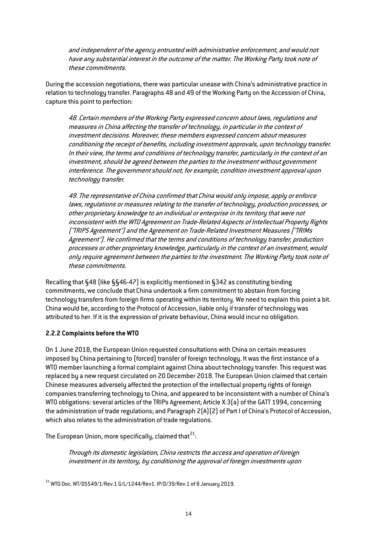and independent of the agency entrusted with administrative enforcement, and would not have any substantial interest in the outcome of the matter. The Working Party took note of these commitments.

During the accession negotiations, there was particular unease with China's administrative practice in relation to technology transfer. Paragraphs 48 and 49 of the Working Party on the Accession of China, capture this point to perfection:

48. Certain members of the Working Party expressed concern about laws, regulations and measures in China affecting the transfer of technology, in particular in the context of investment decisions. Moreover, these members expressed concern about measures conditioning the receipt of benefits, including investment approvals, upon technology transfer. In their view, the terms and conditions of technology transfer, particularly in the context of an investment, should be agreed between the parties to the investment without government interference. The government should not, for example, condition investment approval upon technology transfer.

49. The representative of China confirmed that China would only impose, apply or enforce laws, regulations or measures relating to the transfer of technology, production processes, or other proprietary knowledge to an individual or enterprise in its territory that were not inconsistent with the WTO Agreement on Trade-Related Aspects of Intellectual Property Rights ("TRIPS Agreement") and the Agreement on Trade-Related Investment Measures ("TRIMs Agreement"). He confirmed that the terms and conditions of technology transfer, production processes or other proprietary knowledge, particularly in the context of an investment, would only require agreement between the parties to the investment. The Working Party took note of these commitments.

Recalling that §48 (like §§46-47) is explicitly mentioned in §342 as constituting binding commitments, we conclude that China undertook a firm commitment to abstain from forcing technology transfers from foreign firms operating within its territory. We need to explain this point a bit. China would be, according to the Protocol of Accession, liable only if transfer of technology was attributed to her. If it is the expression of private behaviour, China would incur no obligation.

#### **2.2.2 Complaints before the WTO**

On 1 June 2018, the European Union requested consultations with China on certain measures imposed by China pertaining to (forced) transfer of foreign technology. It was the first instance of a WTO member launching a formal complaint against China about technology transfer. This request was replaced by a new request circulated on 20 December 2018. The European Union claimed that certain Chinese measures adversely affected the protection of the intellectual property rights of foreign companies transferring technology to China, and appeared to be inconsistent with a number of China's WTO obligations: several articles of the TRIPs Agreement; Article X:3(a) of the GATT 1994, concerning the administration of trade regulations; and Paragraph 2(A)(2) of Part I of China's Protocol of Accession, which also relates to the administration of trade regulations.

The European Union, more specifically, claimed that $^{21}\! :$  $^{21}\! :$  $^{21}\! :$ 

Through its domestic legislation, China restricts the access and operation of foreign investment in its territory, by conditioning the approval of foreign investments upon

<span id="page-13-0"></span> $^{21}$  WTO Doc. WT/DS549/1/Rev.1 G/L/1244/Rev1. IP/D/39/Rev.1 of 8 January 2019.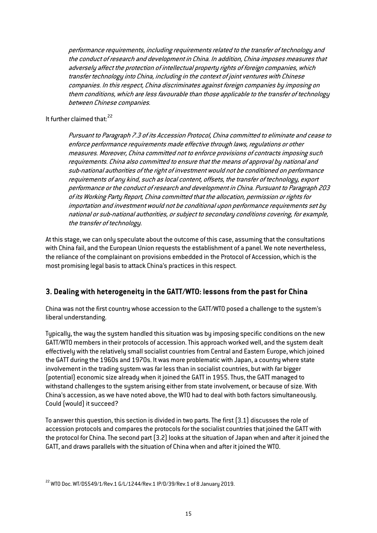performance requirements, including requirements related to the transfer of technology and the conduct of research and development in China. In addition, China imposes measures that adversely affect the protection of intellectual property rights of foreign companies, which transfer technology into China, including in the context of joint ventures with Chinese companies. In this respect, China discriminates against foreign companies by imposing on them conditions, which are less favourable than those applicable to the transfer of technology between Chinese companies.

It further claimed that: [22](#page-14-0)

Pursuant to Paragraph 7.3 of its Accession Protocol, China committed to eliminate and cease to enforce performance requirements made effective through laws, regulations or other measures. Moreover, China committed not to enforce provisions of contracts imposing such requirements. China also committed to ensure that the means of approval by national and sub-national authorities of the right of investment would not be conditioned on performance requirements of any kind, such as local content, offsets, the transfer of technology, export performance or the conduct of research and development in China. Pursuant to Paragraph 203 of its Working Party Report, China committed that the allocation, permission or rights for importation and investment would not be conditional upon performance requirements set by national or sub-national authorities, or subject to secondary conditions covering, for example, the transfer of technology.

At this stage, we can only speculate about the outcome of this case, assuming that the consultations with China fail, and the European Union requests the establishment of a panel. We note nevertheless, the reliance of the complainant on provisions embedded in the Protocol of Accession, which is the most promising legal basis to attack China's practices in this respect.

# **3. Dealing with heterogeneity in the GATT/WTO: lessons from the past for China**

China was not the first country whose accession to the GATT/WTO posed a challenge to the system's liberal understanding.

Typically, the way the system handled this situation was by imposing specific conditions on the new GATT/WTO members in their protocols of accession. This approach worked well, and the system dealt effectively with the relatively small socialist countries from Central and Eastern Europe, which joined the GATT during the 1960s and 1970s. It was more problematic with Japan, a country where state involvement in the trading system was far less than in socialist countries, but with far bigger (potential) economic size already when it joined the GATT in 1955. Thus, the GATT managed to withstand challenges to the system arising either from state involvement, or because of size. With China's accession, as we have noted above, the WTO had to deal with both factors simultaneously. Could (would) it succeed?

To answer this question, this section is divided in two parts. The first (3.1) discusses the role of accession protocols and compares the protocols for the socialist countries that joined the GATT with the protocol for China. The second part (3.2) looks at the situation of Japan when and after it joined the GATT, and draws parallels with the situation of China when and after it joined the WTO.

<span id="page-14-0"></span> $^{22}$  WTO Doc. WT/DS549/1/Rev.1 G/L/1244/Rev.1 IP/D/39/Rev.1 of 8 January 2019.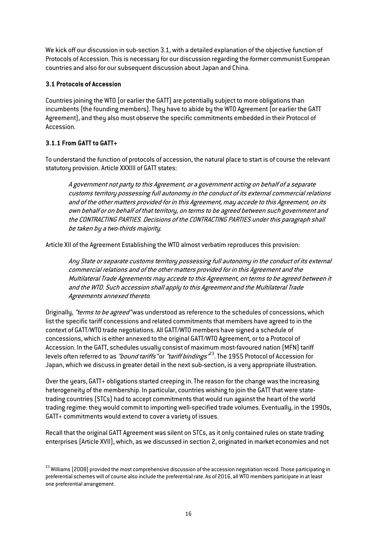We kick off our discussion in sub-section 3.1, with a detailed explanation of the objective function of Protocols of Accession. This is necessary for our discussion regarding the former communist European countries and also for our subsequent discussion about Japan and China.

### **3.1 Protocols of Accession**

Countries joining the WTO (or earlier the GATT) are potentially subject to more obligations than incumbents (the founding members). They have to abide by the WTO Agreement (or earlier the GATT Agreement), and they also must observe the specific commitments embedded in their Protocol of Accession.

# **3.1.1 From GATT to GATT+**

To understand the function of protocols of accession, the natural place to start is of course the relevant statutory provision. Article XXXIII of GATT states:

A government not party to this Agreement, or a government acting on behalf of a separate customs territory possessing full autonomy in the conduct of its external commercial relations and of the other matters provided for in this Agreement, may accede to this Agreement, on its own behalf or on behalf of that territory, on terms to be agreed between such government and the CONTRACTING PARTIES. Decisions of the CONTRACTING PARTIES under this paragraph shall be taken by a two-thirds majority.

Article XII of the Agreement Establishing the WTO almost verbatim reproduces this provision:

Any State or separate customs territory possessing full autonomy in the conduct of its external commercial relations and of the other matters provided for in this Agreement and the Multilateral Trade Agreements may accede to this Agreement, on terms to be agreed between it and the WTO. Such accession shall apply to this Agreement and the Multilateral Trade Agreements annexed thereto.

Originally, "terms to be agreed" was understood as reference to the schedules of concessions, which list the specific tariff concessions and related commitments that members have agreed to in the context of GATT/WTO trade negotiations. All GATT/WTO members have signed a schedule of concessions, which is either annexed to the original GATT/WTO Agreement, or to a Protocol of Accession. In the GATT, schedules usually consist of maximum most-favoured nation (MFN) tariff levels often referred to as "bound tariffs" or "tariff bindings"<sup>[23](#page-15-0)</sup>. The 1955 Protocol of Accession for Japan, which we discuss in greater detail in the next sub-section, is a very appropriate illustration.

Over the years, GATT+ obligations started creeping in. The reason for the change was the increasing heterogeneity of the membership. In particular, countries wishing to join the GATT that were statetrading countries (STCs) had to accept commitments that would run against the heart of the world trading regime: they would commit to importing well-specified trade volumes. Eventually, in the 1990s, GATT+ commitments would extend to cover a variety of issues.

Recall that the original GATT Agreement was silent on STCs, as it only contained rules on state trading enterprises (Article XVII), which, as we discussed in section 2, originated in market economies and not

<span id="page-15-0"></span><sup>&</sup>lt;sup>23</sup> Williams (2008) provided the most comprehensive discussion of the accession negotiation record. Those participating in preferential schemes will of course also include the preferential rate. As of 2016, all WTO members participate in at least one preferential arrangement.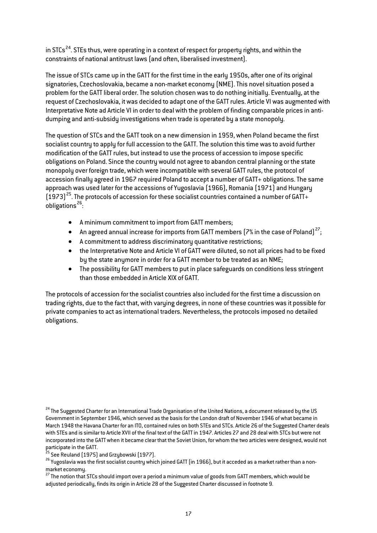in STCs<sup>24</sup>. STEs thus, were operating in a context of respect for property rights, and within the constraints of national antitrust laws (and often, liberalised investment).

The issue of STCs came up in the GATT for the first time in the early 1950s, after one of its original signatories, Czechoslovakia, became a non-market economy (NME). This novel situation posed a problem for the GATT liberal order. The solution chosen was to do nothing initially. Eventually, at the request of Czechoslovakia, it was decided to adapt one of the GATT rules. Article VI was augmented with Interpretative Note ad Article VI in order to deal with the problem of finding comparable prices in antidumping and anti-subsidy investigations when trade is operated by a state monopoly.

The question of STCs and the GATT took on a new dimension in 1959, when Poland became the first socialist country to apply for full accession to the GATT. The solution this time was to avoid further modification of the GATT rules, but instead to use the process of accession to impose specific obligations on Poland. Since the country would not agree to abandon central planning or the state monopoly over foreign trade, which were incompatible with several GATT rules, the protocol of accession finally agreed in 1967 required Poland to accept a number of GATT+ obligations. The same approach was used later for the accessions of Yugoslavia (1966), Romania (1971) and Hungary  $(1973)^{25}$ . The protocols of accession for these socialist countries contained a number of GATT+ obligations<sup>[26](#page-16-2)</sup>:

- A minimum commitment to import from GATT members;
- $\bullet$  An agreed annual increase for imports from GATT members (7% in the case of Poland)<sup>[27](#page-16-3)</sup>;
- A commitment to address discriminatory quantitative restrictions;
- the Interpretative Note and Article VI of GATT were diluted, so not all prices had to be fixed by the state anymore in order for a GATT member to be treated as an NME;
- The possibility for GATT members to put in place safeguards on conditions less stringent than those embedded in Article XIX of GATT.

The protocols of accession for the socialist countries also included for the first time a discussion on trading rights, due to the fact that, with varying degrees, in none of these countries was it possible for private companies to act as international traders. Nevertheless, the protocols imposed no detailed obligations.

<span id="page-16-1"></span>

<span id="page-16-2"></span> $^{26}$  Yugoslavia was the first socialist country which joined GATT (in 1966), but it acceded as a market rather than a nonmarket economy.<br><sup>27</sup> The notion that STCs should import over a period a minimum value of goods from GATT members, which would be

<span id="page-16-3"></span>adjusted periodically, finds its origin in Article 28 of the Suggested Charter discussed in footnote 9.

<span id="page-16-0"></span><sup>&</sup>lt;sup>24</sup> The Suggested Charter for an International Trade Organisation of the United Nations, a document released by the US Government in September 1946, which served as the basis for the London draft of November 1946 of what became in March 1948 the Havana Charter for an ITO, contained rules on both STEs and STCs. Article 26 of the Suggested Charter deals with STEs and is similar to Article XVII of the final text of the GATT in 1947. Articles 27 and 28 deal with STCs but were not incorporated into the GATT when it became clear that the Soviet Union, for whom the two articles were designed, would not participate in the GATT.<br><sup>25</sup> See Reuland (1975) and Grzybowski (1977).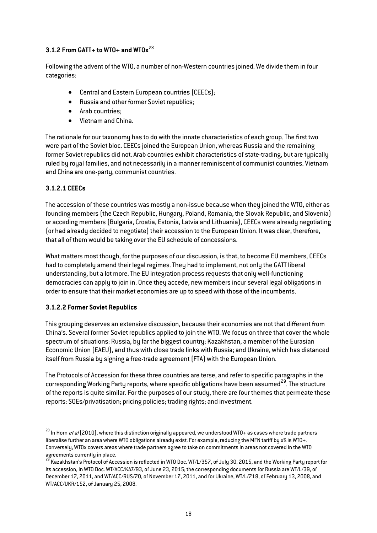# **3.1.2 From GATT+ to WTO+ and WTOx**[28](#page-17-0)

Following the advent of the WTO, a number of non-Western countries joined. We divide them in four categories:

- Central and Eastern European countries (CEECs);
- Russia and other former Soviet republics;
- Arab countries;
- Vietnam and China.

The rationale for our taxonomy has to do with the innate characteristics of each group. The first two were part of the Soviet bloc. CEECs joined the European Union, whereas Russia and the remaining former Soviet republics did not. Arab countries exhibit characteristics of state-trading, but are typically ruled by royal families, and not necessarily in a manner reminiscent of communist countries. Vietnam and China are one-party, communist countries.

# **3.1.2.1 CEECs**

The accession of these countries was mostly a non-issue because when they joined the WTO, either as founding members (the Czech Republic, Hungary, Poland, Romania, the Slovak Republic, and Slovenia) or acceding members (Bulgaria, Croatia, Estonia, Latvia and Lithuania), CEECs were already negotiating (or had already decided to negotiate) their accession to the European Union. It was clear, therefore, that all of them would be taking over the EU schedule of concessions.

What matters most though, for the purposes of our discussion, is that, to become EU members, CEECs had to completely amend their legal regimes. They had to implement, not only the GATT liberal understanding, but a lot more.The EU integration process requests that only well-functioning democracies can apply to join in. Once they accede, new members incur several legal obligations in order to ensure that their market economies are up to speed with those of the incumbents.

#### **3.1.2.2 Former Soviet Republics**

This grouping deserves an extensive discussion, because their economies are not that different from China's. Several former Soviet republics applied to join the WTO. We focus on three that cover the whole spectrum of situations: Russia, by far the biggest country; Kazakhstan, a member of the Eurasian Economic Union (EAEU), and thus with close trade links with Russia; and Ukraine, which has distanced itself from Russia by signing a free-trade agreement (FTA) with the European Union.

The Protocols of Accession for these three countries are terse, and refer to specific paragraphs in the corresponding Working Party reports, where specific obligations have been assumed<sup>29</sup>. The structure of the reports is quite similar. For the purposes of our study, there are four themes that permeate these reports: SOEs/privatisation; pricing policies; trading rights; and investment.

<span id="page-17-0"></span> $^{28}$  In Horn *et al* (2010), where this distinction originally appeared, we understood WTO+ as cases where trade partners liberalise further an area where WTO obligations already exist. For example, reducing the MFN tariff by x% is WTO+. Conversely, WTOx covers areas where trade partners agree to take on commitments in areas not covered in the WTO agreements currently in place.

<span id="page-17-1"></span> $^3$  Kazakhstan's Protocol of Accession is reflected in WTO Doc. WT/L/357, of July 30, 2015, and the Working Party report for its accession, in WTO Doc. WT/ACC/KAZ/93, of June 23, 2015; the corresponding documents for Russia are WT/L/39, of December 17, 2011, and WT/ACC/RUS/70, of November 17, 2011, and for Ukraine, WT/L/718, of February 13, 2008, and WT/ACC/UKR/152, of January 25, 2008.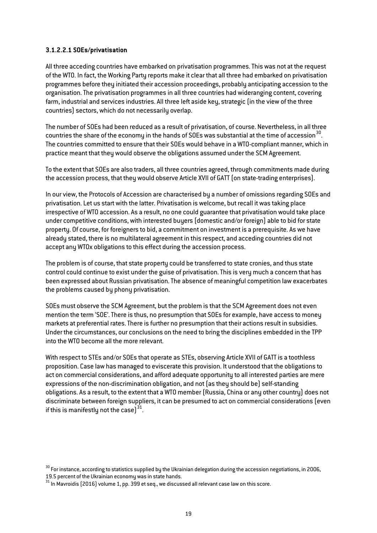#### **3.1.2.2.1 SOEs/privatisation**

All three acceding countries have embarked on privatisation programmes. This was not at the request of the WTO. In fact, the Working Party reports make it clear that all three had embarked on privatisation programmes before they initiated their accession proceedings, probably anticipating accession to the organisation. The privatisation programmes in all three countries had wideranging content, covering farm, industrial and services industries. All three left aside key, strategic (in the view of the three countries) sectors, which do not necessarily overlap.

The number of SOEs had been reduced as a result of privatisation, of course. Nevertheless, in all three countries the share of the economy in the hands of SOEs was substantial at the time of accession  $30$ . The countries committed to ensure that their SOEs would behave in a WTO-compliant manner, which in practice meant that they would observe the obligations assumed under the SCM Agreement.

To the extent that SOEs are also traders, all three countries agreed, through commitments made during the accession process, that they would observe Article XVII of GATT (on state-trading enterprises).

In our view, the Protocols of Accession are characterised by a number of omissions regarding SOEs and privatisation. Let us start with the latter. Privatisation is welcome, but recall it was taking place irrespective of WTO accession. As a result, no one could guarantee that privatisation would take place under competitive conditions, with interested buyers (domestic and/or foreign) able to bid for state property. Of course, for foreigners to bid, a commitment on investment is a prerequisite. As we have already stated, there is no multilateral agreement in this respect, and acceding countries did not accept any WTOx obligations to this effect during the accession process.

The problem is of course, that state property could be transferred to state cronies, and thus state control could continue to exist under the guise of privatisation. This is very much a concern that has been expressed about Russian privatisation. The absence of meaningful competition law exacerbates the problems caused by phony privatisation.

SOEs must observe the SCM Agreement, but the problem is that the SCM Agreement does not even mention the term 'SOE'. There is thus, no presumption that SOEs for example, have access to money markets at preferential rates. There is further no presumption that their actions result in subsidies. Under the circumstances, our conclusions on the need to bring the disciplines embedded in the TPP into the WTO become all the more relevant.

With respect to STEs and/or SOEs that operate as STEs, observing Article XVII of GATT is a toothless proposition. Case law has managed to eviscerate this provision. It understood that the obligations to act on commercial considerations, and afford adequate opportunity to all interested parties are mere expressions of the non-discrimination obligation, and not (as they should be) self-standing obligations. As a result, to the extent that a WTO member (Russia, China or any other country) does not discriminate between foreign suppliers, it can be presumed to act on commercial considerations (even if this is manifestly not the case] $31$ .

<span id="page-18-0"></span><sup>&</sup>lt;sup>30</sup> For instance, according to statistics supplied by the Ukrainian delegation during the accession negotiations, in 2006, 19.5 percent of the Ukrainian economy was in state hands.<br> $31$  In Mavroidis (2016) volume 1, pp. 399 et seq., we discussed all relevant case law on this score.

<span id="page-18-1"></span>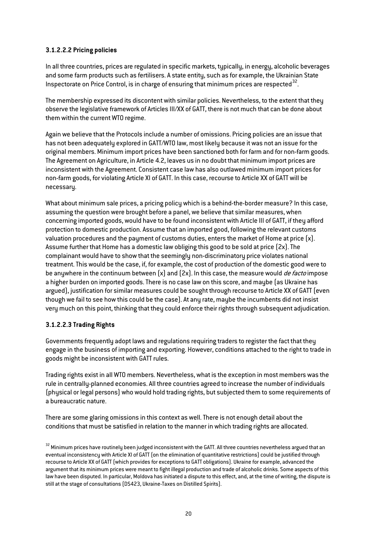# **3.1.2.2.2 Pricing policies**

In all three countries, prices are regulated in specific markets, typically, in energy, alcoholic beverages and some farm products such as fertilisers. A state entity, such as for example, the Ukrainian State Inspectorate on Price Control, is in charge of ensuring that minimum prices are respected<sup>32</sup>.

The membership expressed its discontent with similar policies. Nevertheless, to the extent that they observe the legislative framework of Articles III/XX of GATT, there is not much that can be done about them within the current WTO regime.

Again we believe that the Protocols include a number of omissions. Pricing policies are an issue that has not been adequately explored in GATT/WTO law, most likely because it was not an issue for the original members. Minimum import prices have been sanctioned both for farm and for non-farm goods. The Agreement on Agriculture, in Article 4.2, leaves us in no doubt that minimum import prices are inconsistent with the Agreement. Consistent case law has also outlawed minimum import prices for non-farm goods, for violating Article XI of GATT. In this case, recourse to Article XX of GATT will be necessary.

What about minimum sale prices, a pricing policy which is a behind-the-border measure? In this case, assuming the question were brought before a panel, we believe that similar measures, when concerning imported goods, would have to be found inconsistent with Article III of GATT, if they afford protection to domestic production. Assume that an imported good, following the relevant customs valuation procedures and the payment of customs duties, enters the market of Home at price  $[x]$ . Assume further that Home has a domestic law obliging this good to be sold at price (2x). The complainant would have to show that the seemingly non-discriminatory price violates national treatment. This would be the case, if, for example, the cost of production of the domestic good were to be anywhere in the continuum between  $[x]$  and  $[2x]$ . In this case, the measure would *de facto* impose a higher burden on imported goods. There is no case law on this score, and maybe (as Ukraine has argued), justification for similar measures could be sought through recourse to Article XX of GATT (even though we fail to see how this could be the case). At any rate, maybe the incumbents did not insist very much on this point, thinking that they could enforce their rights through subsequent adjudication.

# **3.1.2.2.3 Trading Rights**

Governments frequently adopt laws and regulations requiring traders to register the fact that they engage in the business of importing and exporting. However, conditions attached to the right to trade in goods might be inconsistent with GATT rules.

Trading rights exist in all WTO members. Nevertheless, what is the exception in most members was the rule in centrally-planned economies. All three countries agreed to increase the number of individuals (physical or legal persons) who would hold trading rights, but subjected them to some requirements of a bureaucratic nature.

There are some glaring omissions in this context as well. There is not enough detail about the conditions that must be satisfied in relation to the manner in which trading rights are allocated.

<span id="page-19-0"></span> $32$  Minimum prices have routinely been judged inconsistent with the GATT. All three countries nevertheless argued that an eventual inconsistency with Article XI of GATT (on the elimination of quantitative restrictions) could be justified through recourse to Article XX of GATT (which provides for exceptions to GATT obligations). Ukraine for example, advanced the argument that its minimum prices were meant to fight illegal production and trade of alcoholic drinks. Some aspects of this law have been disputed. In particular, Moldova has initiated a dispute to this effect, and, at the time of writing, the dispute is still at the stage of consultations (DS423, Ukraine-Taxes on Distilled Spirits).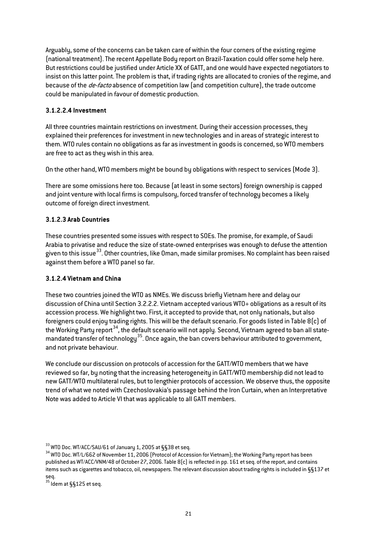Arguably, some of the concerns can be taken care of within the four corners of the existing regime (national treatment). The recent Appellate Body report on Brazil-Taxation could offer some help here. But restrictions could be justified under Article XX of GATT, and one would have expected negotiators to insist on this latter point. The problem is that, if trading rights are allocated to cronies of the regime, and because of the *de-facto* absence of competition law (and competition culture), the trade outcome could be manipulated in favour of domestic production.

### **3.1.2.2.4 Investment**

All three countries maintain restrictions on investment. During their accession processes, they explained their preferences for investment in new technologies and in areas of strategic interest to them. WTO rules contain no obligations as far as investment in goods is concerned, so WTO members are free to act as they wish in this area.

On the other hand, WTO members might be bound by obligations with respect to services (Mode 3).

There are some omissions here too. Because (at least in some sectors) foreign ownership is capped and joint venture with local firms is compulsory, forced transfer of technology becomes a likely outcome of foreign direct investment.

# **3.1.2.3 Arab Countries**

These countries presented some issues with respect to SOEs. The promise, for example, of Saudi Arabia to privatise and reduce the size of state-owned enterprises was enough to defuse the attention given to this issue<sup>[33](#page-20-0)</sup>. Other countries, like Oman, made similar promises. No complaint has been raised against them before a WTO panel so far.

#### **3.1.2.4 Vietnam and China**

These two countries joined the WTO as NMEs. We discuss briefly Vietnam here and delay our discussion of China until Section 3.2.2.2. Vietnam accepted various WTO+ obligations as a result of its accession process. We highlight two. First, it accepted to provide that, not only nationals, but also foreigners could enjoy trading rights. This will be the default scenario. For goods listed in Table 8(c) of the Working Party report<sup>[34](#page-20-1)</sup>, the default scenario will not apply. Second, Vietnam agreed to ban all statemandated transfer of technology<sup>35</sup>. Once again, the ban covers behaviour attributed to government, and not private behaviour.

We conclude our discussion on protocols of accession for the GATT/WTO members that we have reviewed so far, by noting that the increasing heterogeneity in GATT/WTO membership did not lead to new GATT/WTO multilateral rules, but to lengthier protocols of accession. We observe thus, the opposite trend of what we noted with Czechoslovakia's passage behind the Iron Curtain, when an Interpretative Note was added to Article VI that was applicable to all GATT members.

<span id="page-20-2"></span> $35$  Idem at §§125 et seq.

<span id="page-20-1"></span><span id="page-20-0"></span> $^{33}$  WTO Doc. WT/ACC/SAU/61 of January 1, 2005 at §§38 et seq.<br> $^{34}$  WTO Doc. WT/L/662 of November 11, 2006 (Protocol of Accession for Vietnam); the Working Party report has been published as WT/ACC/VNM/48 of October 27, 2006. Table 8(c) is reflected in pp. 161 et seq. of the report, and contains items such as cigarettes and tobacco, oil, newspapers. The relevant discussion about trading rights is included in §§137 et seq.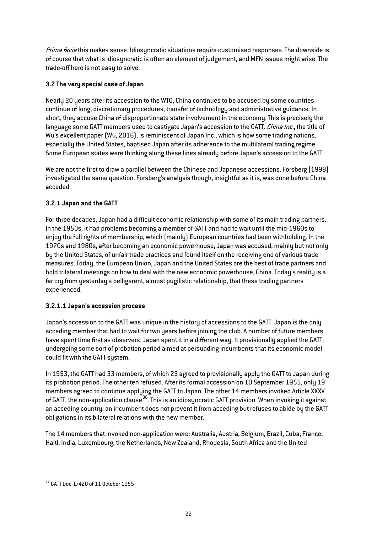Prima facie this makes sense. Idiosyncratic situations require customised responses. The downside is of course that what is idiosyncratic is often an element of judgement, and MFN issues might arise. The trade-off here is not easy to solve.

# **3.2 The very special case of Japan**

Nearly 20 years after its accession to the WTO, China continues to be accused by some countries continue of long, discretionary procedures, transfer of technology and administrative guidance. In short, they accuse China of disproportionate state involvement in the economy. This is precisely the language some GATT members used to castigate Japan's accession to the GATT. China Inc., the title of Wu's excellent paper (Wu, 2016), is reminiscent of Japan Inc., which is how some trading nations, especially the United States, baptised Japan after its adherence to the multilateral trading regime. Some European states were thinking along these lines already before Japan's accession to the GATT

We are not the first to draw a parallel between the Chinese and Japanese accessions. Forsberg (1998) investigated the same question. Forsberg's analysis though, insightful as it is, was done before China acceded.

# **3.2.1 Japan and the GATT**

For three decades, Japan had a difficult economic relationship with some of its main trading partners. In the 1950s, it had problems becoming a member of GATT and had to wait until the mid-1960s to enjoy the full rights of membership, which (mainly) European countries had been withholding. In the 1970s and 1980s, after becoming an economic powerhouse, Japan was accused, mainly but not only by the United States, of unfair trade practices and found itself on the receiving end of various trade measures. Today, the European Union, Japan and the United States are the best of trade partners and hold trilateral meetings on how to deal with the new economic powerhouse, China. Today's reality is a far cry from yesterday's belligerent, almost pugilistic relationship, that these trading partners experienced.

# **3.2.1.1 Japan's accession process**

Japan's accession to the GATT was unique in the history of accessions to the GATT. Japan is the only acceding member that had to wait for two years before joining the club. A number of future members have spent time first as observers. Japan spent it in a different way. It provisionally applied the GATT, undergoing some sort of probation period aimed at persuading incumbents that its economic model could fit with the GATT system.

In 1953, the GATT had 33 members, of which 23 agreed to provisionally apply the GATT to Japan during its probation period. The other ten refused. After its formal accession on 10 September 1955, only 19 members agreed to continue applying the GATT to Japan. The other 14 members invoked Article XXXV of GATT, the non-application clause<sup>[36](#page-21-0)</sup>. This is an idiosyncratic GATT provision. When invoking it against an acceding country, an incumbent does not prevent it from acceding but refuses to abide by the GATT obligations in its bilateral relations with the new member.

The 14 members that invoked non-application were: Australia, Austria, Belgium, Brazil, Cuba, France, Haiti, India, Luxembourg, the Netherlands, New Zealand, Rhodesia, South Africa and the United

<span id="page-21-0"></span><sup>&</sup>lt;sup>36</sup> GATT Doc. L/420 of 11 October 1955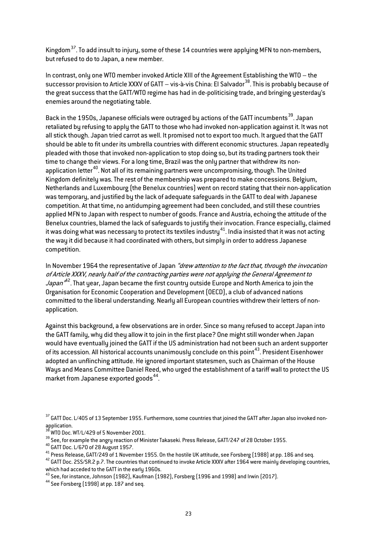Kingdom<sup>[37](#page-22-0)</sup>. To add insult to injury, some of these 14 countries were applying MFN to non-members, but refused to do to Japan, a new member.

In contrast, only one WTO member invoked Article XIII of the Agreement Establishing the WTO – the successor provision to Article XXXV of GATT – vis-à-vis China: El Salvador<sup>38</sup>. This is probably because of the great success that the GATT/WTO regime has had in de-politicising trade, and bringing yesterday's enemies around the negotiating table.

Back in the 1950s, Japanese officials were outraged by actions of the GATT incumbents<sup>[39](#page-22-2)</sup>. Japan retaliated by refusing to apply the GATT to those who had invoked non-application against it. It was not all stick though. Japan tried carrot as well. It promised not to export too much. It argued that the GATT should be able to fit under its umbrella countries with different economic structures. Japan repeatedly pleaded with those that invoked non-application to stop doing so, but its trading partners took their time to change their views. For a long time, Brazil was the only partner that withdrew its nonapplication letter<sup>40</sup>. Not all of its remaining partners were uncompromising, though. The United Kingdom definitely was. The rest of the membership was prepared to make concessions. Belgium, Netherlands and Luxembourg (the Benelux countries) went on record stating that their non-application was temporary, and justified by the lack of adequate safeguards in the GATT to deal with Japanese competition. At that time, no antidumping agreement had been concluded, and still these countries applied MFN to Japan with respect to number of goods. France and Austria, echoing the attitude of the Benelux countries, blamed the lack of safeguards to justify their invocation. France especially, claimed it was doing what was necessary to protect its textiles industry  $41$ . India insisted that it was not acting the way it did because it had coordinated with others, but simply in order to address Japanese competition.

In November 1964 the representative of Japan "drew attention to the fact that, through the invocation of Article XXXV, nearly half of the contracting parties were not applying the General Agreement to *Japan"<sup>A2</sup>*. That year, Japan became the first country outside Europe and North America to join the Organisation for Economic Cooperation and Development (OECD), a club of advanced nations committed to the liberal understanding. Nearly all European countries withdrew their letters of nonapplication.

Against this background, a few observations are in order. Since so many refused to accept Japan into the GATT family, why did they allow it to join in the first place? One might still wonder when Japan would have eventually joined the GATT if the US administration had not been such an ardent supporter of its accession. All historical accounts unanimously conclude on this point[43](#page-22-6). President Eisenhower adopted an unflinching attitude. He ignored important statesmen, such as Chairman of the House Ways and Means Committee Daniel Reed, who urged the establishment of a tariff wall to protect the US market from Japanese exported goods $^{44}$ .

<span id="page-22-2"></span><span id="page-22-1"></span><sup>39</sup> See, for example the angry reaction of Minister Takaseki. Press Release, GATT/247 of 28 October 1955.<br><sup>40</sup> GATT Doc. L/670 of 28 August 1957.<br><sup>41</sup> Press Release, GATT/249 of 1 November 1955. On the hostile UK attitud which had acceded to the GATT in the early 1960s.

<span id="page-22-0"></span><sup>&</sup>lt;sup>37</sup> GATT Doc. L/405 of 13 September 1955. Furthermore, some countries that joined the GATT after Japan also invoked nonapplication.<br><sup>38</sup> WTO Doc. WT/L/429 of 5 November 2001.

<span id="page-22-5"></span><span id="page-22-4"></span><span id="page-22-3"></span>

<span id="page-22-6"></span>which had acceded to the only make early 1999.<br><sup>43</sup> See, for instance, Johnson (1982), Kaufman (1982), Forsberg (1996 and 1998) and Irwin (2017).<br><sup>44</sup> See Forsberg (1998) at pp. 187 and seq.

<span id="page-22-7"></span>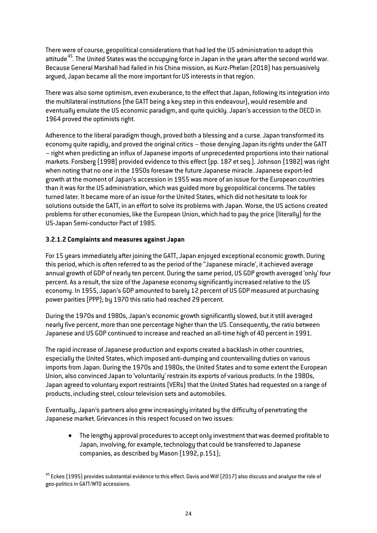There were of course, geopolitical considerations that had led the US administration to adopt this attitude<sup>45</sup>. The United States was the occupying force in Japan in the years after the second world war. Because General Marshall had failed in his China mission, as Kurz-Phelan (2018) has persuasively argued, Japan became all the more important for US interests in that region.

There was also some optimism, even exuberance, to the effect that Japan, following its integration into the multilateral institutions (the GATT being a key step in this endeavour), would resemble and eventually emulate the US economic paradigm, and quite quickly. Japan's accession to the OECD in 1964 proved the optimists right.

Adherence to the liberal paradigm though, proved both a blessing and a curse. Japan transformed its economy quite rapidly, and proved the original critics – those denying Japan its rights under the GATT – right when predicting an influx of Japanese imports of unprecedented proportions into their national markets. Forsberg (1998) provided evidence to this effect (pp. 187 et seq.). Johnson (1982) was right when noting that no one in the 1950s foresaw the future Japanese miracle. Japanese export-led growth at the moment of Japan's accession in 1955 was more of an issue for the European countries than it was for the US administration, which was guided more by geopolitical concerns. The tables turned later. It became more of an issue for the United States, which did not hesitate to look for solutions outside the GATT, in an effort to solve its problems with Japan. Worse, the US actions created problems for other economies, like the European Union, which had to pay the price (literally) for the US-Japan Semi-conductor Pact of 1985.

# **3.2.1.2 Complaints and measures against Japan**

For 15 years immediately after joining the GATT, Japan enjoyed exceptional economic growth. During this period, which is often referred to as the period of the ''Japanese miracle', it achieved average annual growth of GDP of nearly ten percent. During the same period, US GDP growth averaged 'only' four percent. As a result, the size of the Japanese economy significantly increased relative to the US economy. In 1955, Japan's GDP amounted to barely 12 percent of US GDP measured at purchasing power parities (PPP); by 1970 this ratio had reached 29 percent.

During the 1970s and 1980s, Japan's economic growth significantly slowed, but it still averaged nearly five percent, more than one percentage higher than the US. Consequently, the ratio between Japanese and US GDP continued to increase and reached an all-time high of 40 percent in 1991.

The rapid increase of Japanese production and exports created a backlash in other countries, especially the United States, which imposed anti-dumping and countervailing duties on various imports from Japan. During the 1970s and 1980s, the United States and to some extent the European Union, also convinced Japan to 'voluntarily' restrain its exports of various products. In the 1980s, Japan agreed to voluntary export restraints (VERs) that the United States had requested on a range of products, including steel, colour television sets and automobiles.

Eventually, Japan's partners also grew increasingly irritated by the difficulty of penetrating the Japanese market. Grievances in this respect focused on two issues:

• The lengthy approval procedures to accept only investment that was deemed profitable to Japan, involving, for example, technology that could be transferred to Japanese companies, as described by Mason (1992, p.151);

<span id="page-23-0"></span><sup>45</sup> Eckes (1995) provides substantial evidence to this effect. Davis and Wilf (2017) also discuss and analyse the role of geo-politics in GATT/WTO accessions.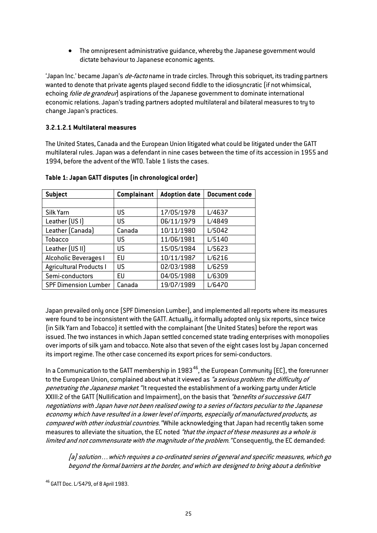• The omnipresent administrative guidance, whereby the Japanese government would dictate behaviour to Japanese economic agents.

'Japan Inc.' became Japan's de-facto name in trade circles.Through this sobriquet, its trading partners wanted to denote that private agents played second fiddle to the idiosyncratic (if not whimsical, echoing *folie de grandeur*) aspirations of the Japanese government to dominate international economic relations. Japan's trading partners adopted multilateral and bilateral measures to try to change Japan's practices.

#### **3.2.1.2.1 Multilateral measures**

The United States, Canada and the European Union litigated what could be litigated under the GATT multilateral rules. Japan was a defendant in nine cases between the time of its accession in 1955 and 1994, before the advent of the WTO. Table 1 lists the cases.

| <b>Subject</b>                 | <b>Complainant</b> | <b>Adoption date</b> | <b>Document code</b> |
|--------------------------------|--------------------|----------------------|----------------------|
|                                |                    |                      |                      |
| Silk Yarn                      | US                 | 17/05/1978           | L/4637               |
| Leather (USI)                  | US                 | 06/11/1979           | L/4849               |
| Leather (Canada)               | Canada             | 10/11/1980           | L/5042               |
| <b>Tobacco</b>                 | US                 | 11/06/1981           | L/5140               |
| Leather (US II)                | US                 | 15/05/1984           | L/5623               |
| Alcoholic Beverages I          | EU                 | 10/11/1987           | L/6216               |
| <b>Agricultural Products I</b> | US                 | 02/03/1988           | L/6259               |
| Semi-conductors                | EU                 | 04/05/1988           | L/6309               |
| <b>SPF Dimension Lumber</b>    | Canada             | 19/07/1989           | L/6470               |

# **Table 1: Japan GATT disputes (in chronological order)**

Japan prevailed only once (SPF Dimension Lumber), and implemented all reports where its measures were found to be inconsistent with the GATT. Actually, it formally adopted only six reports, since twice (in Silk Yarn and Tobacco) it settled with the complainant (the United States) before the report was issued. The two instances in which Japan settled concerned state trading enterprises with monopolies over imports of silk yarn and tobacco. Note also that seven of the eight cases lost by Japan concerned its import regime. The other case concerned its export prices for semi-conductors.

In a Communication to the GATT membership in  $1983^{46}$ , the European Community (EC), the forerunner to the European Union, complained about what it viewed as "a serious problem: the difficulty of penetrating the Japanese market. "It requested the establishment of a working party under Article XXIII:2 of the GATT (Nullification and Impairment), on the basis that "benefits of successive GATT negotiations with Japan have not been realised owing to a series of factors peculiar to the Japanese economy which have resulted in a lower level of imports, especially of manufactured products, as compared with other industrial countries. "While acknowledging that Japan had recently taken some measures to alleviate the situation, the EC noted "that the impact of these measures as a whole is limited and not commensurate with the magnitude of the problem. "Consequently, the EC demanded:

[a] solution…which requires a co-ordinated series of general and specific measures, which go beyond the formal barriers at the border, and which are designed to bring about a definitive

<span id="page-24-0"></span><sup>46</sup> GATT Doc. L/5479, of 8 April 1983.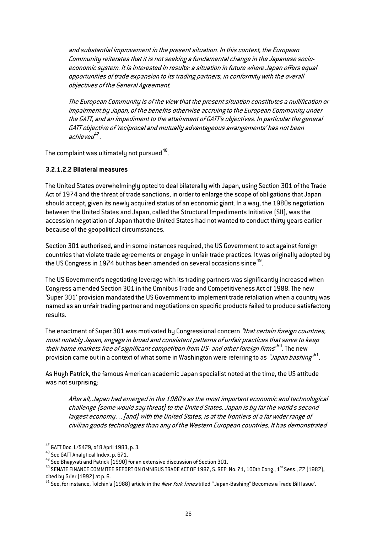and substantial improvement in the present situation. In this context, the European Community reiterates that it is not seeking a fundamental change in the Japanese socioeconomic system. It is interested in results: a situation in future where Japan offers equal opportunities of trade expansion to its trading partners, in conformity with the overall objectives of the General Agreement.

The European Community is of the view that the present situation constitutes a nullification or impairment by Japan, of the benefits otherwise accruing to the European Community under the GATT, and an impediment to the attainment of GATT's objectives. In particular the general GATT objective of 'reciprocal and mutually advantageous arrangements' has not been achieve $d^2$ .

The complaint was ultimately not pursued  $48$ .

#### **3.2.1.2.2 Bilateral measures**

The United States overwhelmingly opted to deal bilaterally with Japan, using Section 301 of the Trade Act of 1974 and the threat of trade sanctions, in order to enlarge the scope of obligations that Japan should accept, given its newly acquired status of an economic giant. In a way, the 1980s negotiation between the United States and Japan, called the Structural Impediments Initiative (SII), was the accession negotiation of Japan that the United States had not wanted to conduct thirty years earlier because of the geopolitical circumstances.

Section 301 authorised, and in some instances required, the US Government to act against foreign countries that violate trade agreements or engage in unfair trade practices. It was originally adopted by the US Congress in 1974 but has been amended on several occasions since<sup>[49](#page-25-2)</sup>.

The US Government's negotiating leverage with its trading partners was significantly increased when Congress amended Section 301 in the Omnibus Trade and Competitiveness Act of 1988. The new 'Super 301' provision mandated the US Government to implement trade retaliation when a country was named as an unfair trading partner and negotiations on specific products failed to produce satisfactory results.

The enactment of Super 301 was motivated by Congressional concern "that certain foreign countries, most notably Japan, engage in broad and consistent patterns of unfair practices that serve to keep their home markets free of significant competition from US- and other foreign firms" [50](#page-25-3). The new provision came out in a context of what some in Washington were referring to as "Japan bashing"<sup>b1</sup>.

As Hugh Patrick, the famous American academic Japan specialist noted at the time, the US attitude was not surprising:

After all, Japan had emerged in the 1980's as the most important economic and technological challenge (some would say threat) to the United States. Japan is by far the world's second largest economy…[and] with the United States, is at the frontiers of a far wider range of civilian goods technologies than any of the Western European countries. It has demonstrated

<span id="page-25-1"></span>

<span id="page-25-3"></span><span id="page-25-2"></span>

<span id="page-25-0"></span><sup>&</sup>lt;sup>47</sup> GATT Doc. L/5479, of 8 April 1983, p. 3.<br><sup>48</sup> See GATT Analytical Index, p. 671.<br><sup>49</sup> See Bhagwati and Patrick (1990) for an extensive discussion of Section 301.<br><sup>50</sup> SENATE FINANCE COMMITEE REPORT ON OMNIBUS TRADE A cited by Grier (1992) at p. 6.

<span id="page-25-4"></span> $^{51}$  See, for instance, Tolchin's (1988) article in the *New York Times* titled "'Japan-Bashing" Becomes a Trade Bill Issue'.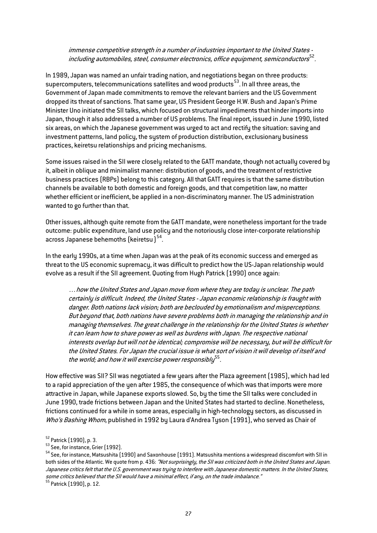#### immense competitive strength in a number of industries important to the United States including automobiles, steel, consumer electronics, office equipment, semiconductors ${}^{52}$  ${}^{52}$  ${}^{52}$ .

In 1989, Japan was named an unfair trading nation, and negotiations began on three products: supercomputers, telecommunications satellites and wood products<sup>53</sup>. In all three areas, the Government of Japan made commitments to remove the relevant barriers and the US Government dropped its threat of sanctions.That same year, US President George H.W. Bush and Japan's Prime Minister Uno initiated the SII talks, which focused on structural impediments that hinder imports into Japan, though it also addressed a number of US problems. The final report, issued in June 1990, listed six areas, on which the Japanese government was urged to act and rectify the situation: saving and investment patterns, land policy, the system of production distribution, exclusionary business practices, keiretsu relationships and pricing mechanisms.

Some issues raised in the SII were closely related to the GATT mandate, though not actually covered by it, albeit in oblique and minimalist manner: distribution of goods, and the treatment of restrictive business practices (RBPs) belong to this category. All that GATT requires is that the same distribution channels be available to both domestic and foreign goods, and that competition law, no matter whether efficient or inefficient, be applied in a non-discriminatory manner. The US administration wanted to go further than that.

Other issues, although quite remote from the GATT mandate, were nonetheless important for the trade outcome: public expenditure, land use policy and the notoriously close inter-corporate relationship across Japanese behemoths (keiretsu) [54.](#page-26-2)

In the early 1990s, at a time when Japan was at the peak of its economic success and emerged as threat to the US economic supremacy, it was difficult to predict how the US-Japan relationship would evolve as a result if the SII agreement. Quoting from Hugh Patrick (1990) once again:

…how the United States and Japan move from where they are today is unclear. The path certainly is difficult. Indeed, the United States - Japan economic relationship is fraught with danger. Both nations lack vision; both are beclouded by emotionalism and misperceptions. But beyond that, both nations have severe problems both in managing the relationship and in managing themselves. The great challenge in the relationship for the United States is whether it can learn how to share power as well as burdens with Japan. The respective national interests overlap but will not be identical; compromise will be necessary, but will be difficult for the United States. For Japan the crucial issue is what sort of vision it will develop of itself and the world; and how it will exercise power responsibly $5^5$ .

How effective was SII? SII was negotiated a few years after the Plaza agreement (1985), which had led to a rapid appreciation of the yen after 1985, the consequence of which was that imports were more attractive in Japan, while Japanese exports slowed. So, by the time the SII talks were concluded in June 1990, trade frictions between Japan and the United States had started to decline. Nonetheless, frictions continued for a while in some areas, especially in high-technology sectors, as discussed in Who's Bashing Whom, published in 1992 by Laura d'Andrea Tyson (1991), who served as Chair of

<span id="page-26-2"></span><span id="page-26-1"></span>

<span id="page-26-0"></span> $^{52}$  Patrick (1990), p. 3.<br><sup>53</sup> See, for instance, Grier (1992).<br><sup>54</sup> See, for instance, Matsushita (1990) and Saxonhouse (1991). Matsushita mentions a widespread discomfort with SII in both sides of the Atlantic. We quote from p. 436: "Not surprisingly, the SII was criticized both in the United States and Japan. Japanese critics felt that the U.S. government was trying to interfere with Japanese domestic matters. In the United States, some critics believed that the SII would have a minimal effect, if any, on the trade imbalance."

<span id="page-26-3"></span>Some croce 22.12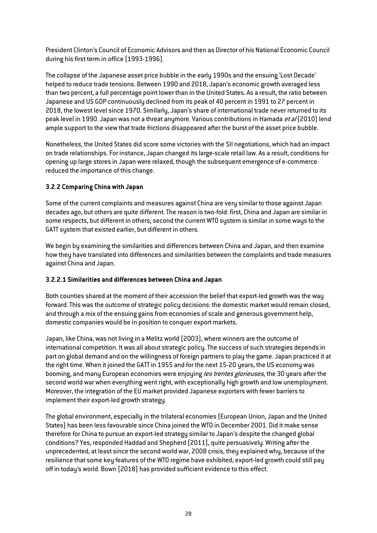President Clinton's Council of Economic Advisors and then as Director of his National Economic Council during his first term in office (1993-1996).

The collapse of the Japanese asset price bubble in the early 1990s and the ensuing 'Lost Decade' helped to reduce trade tensions. Between 1990 and 2018, Japan's economic growth averaged less than two percent, a full percentage point lower than in the United States. As a result, the ratio between Japanese and US GDP continuously declined from its peak of 40 percent in 1991 to 27 percent in 2018, the lowest level since 1970. Similarly, Japan's share of international trade never returned to its peak level in 1990. Japan was not a threat anymore. Various contributions in Hamada *et al* (2010) lend ample support to the view that trade frictions disappeared after the burst of the asset price bubble.

Nonetheless, the United States did score some victories with the SII negotiations, which had an impact on trade relationships. For instance, Japan changed its large-scale retail law. As a result, conditions for opening up large stores in Japan were relaxed, though the subsequent emergence of e-commerce reduced the importance of this change.

# **3.2.2 Comparing China with Japan**

Some of the current complaints and measures against China are very similar to those against Japan decades ago, but others are quite different. The reason is two-fold: first, China and Japan are similar in some respects, but different in others; second the current WTO system is similar in some ways to the GATT system that existed earlier, but different in others.

We begin by examining the similarities and differences between China and Japan, and then examine how they have translated into differences and similarities between the complaints and trade measures against China and Japan.

# **3.2.2.1 Similarities and differences between China and Japan**

Both counties shared at the moment of their accession the belief that export-led growth was the way forward. This was the outcome of strategic policy decisions: the domestic market would remain closed, and through a mix of the ensuing gains from economies of scale and generous government help, domestic companies would be in position to conquer export markets.

Japan, like China, was not living in a Melitz world (2003), where winners are the outcome of international competition. It was all about strategic policy. The success of such strategies depends in part on global demand and on the willingness of foreign partners to play the game. Japan practiced it at the right time. When it joined the GATT in 1955 and for the next 15-20 years, the US economy was booming, and many European economies were enjoying les trentes glorieuses, the 30 years after the second world war when everything went right, with exceptionally high growth and low unemployment. Moreover, the integration of the EU market provided Japanese exporters with fewer barriers to implement their export-led growth strategy.

The global environment, especially in the trilateral economies (European Union, Japan and the United States) has been less favourable since China joined the WTO in December 2001. Did it make sense therefore for China to pursue an export-led strategy similar to Japan's despite the changed global conditions? Yes, responded Haddad and Shepherd (2011), quite persuasively. Writing after the unprecedented, at least since the second world war, 2008 crisis, they explained why, because of the resilience that some key features of the WTO regime have exhibited, export-led growth could still pay off in today's world. Bown (2018) has provided sufficient evidence to this effect.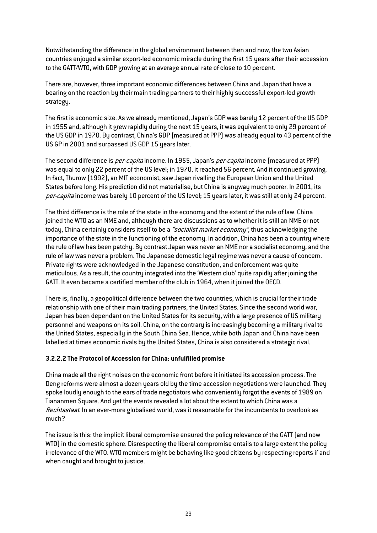Notwithstanding the difference in the global environment between then and now, the two Asian countries enjoyed a similar export-led economic miracle during the first 15 years after their accession to the GATT/WTO, with GDP growing at an average annual rate of close to 10 percent.

There are, however, three important economic differences between China and Japan that have a bearing on the reaction by their main trading partners to their highly successful export-led growth strategy.

The first is economic size. As we already mentioned, Japan's GDP was barely 12 percent of the US GDP in 1955 and, although it grew rapidly during the next 15 years, it was equivalent to only 29 percent of the US GDP in 1970. By contrast, China's GDP (measured at PPP) was already equal to 43 percent of the US GP in 2001 and surpassed US GDP 15 years later.

The second difference is *per-capita* income. In 1955, Japan's *per-capita* income (measured at PPP) was equal to only 22 percent of the US level; in 1970, it reached 56 percent. And it continued growing. In fact, Thurow (1992), an MIT economist, saw Japan rivalling the European Union and the United States before long. His prediction did not materialise, but China is anyway much poorer. In 2001, its per-capita income was barely 10 percent of the US level; 15 years later, it was still at only 24 percent.

The third difference is the role of the state in the economy and the extent of the rule of law. China joined the WTO as an NME and, although there are discussions as to whether it is still an NME or not today, China certainly considers itself to be a "socialist market economy", thus acknowledging the importance of the state in the functioning of the economy. In addition, China has been a country where the rule of law has been patchy. By contrast Japan was never an NME nor a socialist economy, and the rule of law was never a problem. The Japanese domestic legal regime was never a cause of concern. Private rights were acknowledged in the Japanese constitution, and enforcement was quite meticulous. As a result, the country integrated into the 'Western club' quite rapidly after joining the GATT. It even became a certified member of the club in 1964, when it joined the OECD.

There is, finally, a geopolitical difference between the two countries, which is crucial for their trade relationship with one of their main trading partners, the United States. Since the second world war, Japan has been dependant on the United States for its security, with a large presence of US military personnel and weapons on its soil. China, on the contrary is increasingly becoming a military rival to the United States, especially in the South China Sea. Hence, while both Japan and China have been labelled at times economic rivals by the United States, China is also considered a strategic rival.

#### **3.2.2.2 The Protocol of Accession for China: unfulfilled promise**

China made all the right noises on the economic front before it initiated its accession process. The Deng reforms were almost a dozen years old by the time accession negotiations were launched. They spoke loudly enough to the ears of trade negotiators who conveniently forgot the events of 1989 on Tiananmen Square. And yet the events revealed a lot about the extent to which China was a Rechtsstaat. In an ever-more globalised world, was it reasonable for the incumbents to overlook as much?

The issue is this: the implicit liberal compromise ensured the policy relevance of the GATT (and now WTO) in the domestic sphere. Disrespecting the liberal compromise entails to a large extent the policy irrelevance of the WTO. WTO members might be behaving like good citizens by respecting reports if and when caught and brought to justice.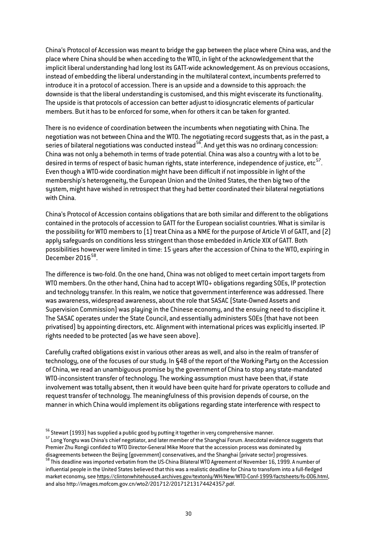China's Protocol of Accession was meant to bridge the gap between the place where China was, and the place where China should be when acceding to the WTO, in light of the acknowledgement that the implicit liberal understanding had long lost its GATT-wide acknowledgement. As on previous occasions, instead of embedding the liberal understanding in the multilateral context, incumbents preferred to introduce it in a protocol of accession. There is an upside and a downside to this approach: the downside is that the liberal understanding is customised, and this might eviscerate its functionality. The upside is that protocols of accession can better adjust to idiosyncratic elements of particular members. But it has to be enforced for some, when for others it can be taken for granted.

There is no evidence of coordination between the incumbents when negotiating with China. The negotiation was not between China and the WTO. The negotiating record suggests that, as in the past, a series of bilateral negotiations was conducted instead<sup>56</sup>. And yet this was no ordinary concession: China was not only a behemoth in terms of trade potential. China was also a country with a lot to be desired in terms of respect of basic human rights, state interference, independence of justice, etc<sup>[57](#page-29-1)</sup>. Even though a WTO-wide coordination might have been difficult if not impossible in light of the membership's heterogeneity, the European Union and the United States, the then big two of the system, might have wished in retrospect that they had better coordinated their bilateral negotiations with China.

China's Protocol of Accession contains obligations that are both similar and different to the obligations contained in the protocols of accession to GATT for the European socialist countries. What is similar is the possibility for WTO members to (1) treat China as a NME for the purpose of Article VI of GATT, and (2) apply safeguards on conditions less stringent than those embedded in Article XIX of GATT. Both possibilities however were limited in time: 15 years after the accession of China to the WTO, expiring in December 2016<sup>58</sup>.

The difference is two-fold. On the one hand, China was not obliged to meet certain import targets from WTO members. On the other hand, China had to accept WTO+ obligations regarding SOEs, IP protection and technology transfer. In this realm, we notice that government interference was addressed. There was awareness, widespread awareness, about the role that SASAC (State-Owned Assets and Supervision Commission) was playing in the Chinese economy, and the ensuing need to discipline it. The SASAC operates under the State Council, and essentially administers SOEs (that have not been privatised) by appointing directors, etc. Alignment with international prices was explicitly inserted. IP rights needed to be protected (as we have seen above).

Carefully crafted obligations exist in various other areas as well, and also in the realm of transfer of technology, one of the focuses of our study. In §48 of the report of the Working Party on the Accession of China, we read an unambiguous promise by the government of China to stop any state-mandated WTO-inconsistent transfer of technology. The working assumption must have been that, if state involvement was totally absent, then it would have been quite hard for private operators to collude and request transfer of technology. The meaningfulness of this provision depends of course, on the manner in which China would implement its obligations regarding state interference with respect to

<span id="page-29-1"></span><span id="page-29-0"></span> $^{56}$  Stewart (1993) has supplied a public good by putting it together in very comprehensive manner.<br><sup>57</sup> Long Yongtu was China's chief negotiator, and later member of the Shanghai Forum. Anecdotal evidence suggests that Premier Zhu Rongji confided to WTO Director-General Mike Moore that the accession process was dominated by disagreements between the Beijing (government) conservatives, and the Shanghai (private sector) progressives.

<span id="page-29-2"></span><sup>58</sup> This deadline was imported verbatim from the US-China Bilateral WTO Agreement of November 16, 1999. A number of influential people in the United States believed that this was a realistic deadline for China to transform into a full-fledged market economy, see https://clintonwhitehouse4.archives.gov/textonly/WH/New/WTO-Conf-1999/factsheets/fs-006.html, and also http://images.mofcom.gov.cn/wto2/201712/20171213174424357.pdf.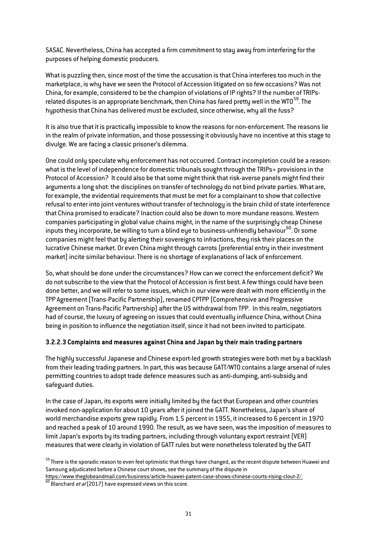SASAC. Nevertheless, China has accepted a firm commitment to stay away from interfering for the purposes of helping domestic producers.

What is puzzling then, since most of the time the accusation is that China interferes too much in the marketplace, is why have we seen the Protocol of Accession litigated on so few occasions? Was not China, for example, considered to be the champion of violations of IP rights? If the number of TRIPsrelated disputes is an appropriate benchmark, then China has fared pretty well in the WTO $^{59}$ . The hupothesis that China has delivered must be excluded, since otherwise, why all the fuss?

It is also true that it is practically impossible to know the reasons for non-enforcement. The reasons lie in the realm of private information, and those possessing it obviously have no incentive at this stage to divulge. We are facing a classic prisoner's dilemma.

One could only speculate why enforcement has not occurred. Contract incompletion could be a reason: what is the level of independence for domestic tribunals sought through the TRIPs+ provisions in the Protocol of Accession? It could also be that some might think that risk-averse panels might find their arguments a long shot: the disciplines on transfer of technology do not bind private parties. What are, for example, the evidential requirements that must be met for a complainant to show that collective refusal to enter into joint ventures without transfer of technology is the brain child of state interference that China promised to eradicate? Inaction could also be down to more mundane reasons. Western companies participating in global value chains might, in the name of the surprisingly cheap Chinese inputs they incorporate, be willing to turn a blind eye to business-unfriendly behaviour<sup>[60](#page-30-1)</sup>. Or some companies might feel that by alerting their sovereigns to infractions, they risk their places on the lucrative Chinese market. Or even China might through carrots (preferential entry in their investment market) incite similar behaviour. There is no shortage of explanations of lack of enforcement.

So, what should be done under the circumstances? How can we correct the enforcement deficit? We do not subscribe to the view that the Protocol of Accession is first best. A few things could have been done better, and we will refer to some issues, which in our view were dealt with more efficiently in the TPP Agreement (Trans-Pacific Partnership), renamed CPTPP (Comprehensive and Progressive Agreement on Trans-Pacific Partnership) after the US withdrawal from TPP. In this realm, negotiators had of course, the luxury of agreeing on issues that could eventually influence China, without China being in position to influence the negotiation itself, since it had not been invited to participate.

#### **3.2.2.3 Complaints and measures against China and Japan by their main trading partners**

The highly successful Japanese and Chinese export-led growth strategies were both met by a backlash from their leading trading partners. In part, this was because GATT/WTO contains a large arsenal of rules permitting countries to adopt trade defence measures such as anti-dumping, anti-subsidy and safeguard duties.

In the case of Japan, its exports were initially limited by the fact that European and other countries invoked non-application for about 10 years after it joined the GATT. Nonetheless, Japan's share of world merchandise exports grew rapidly. From 1.5 percent in 1955, it increased to 6 percent in 1970 and reached a peak of 10 around 1990. The result, as we have seen, was the imposition of measures to limit Japan's exports by its trading partners, including through voluntary export restraint (VER) measures that were clearly in violation of GATT rules but were nonetheless tolerated by the GATT

<span id="page-30-0"></span> $59$  There is the sporadic reason to even feel optimistic that things have changed, as the recent dispute between Huawei and Samsung adjudicated before a Chinese court shows, see the summary of the dispute in

<span id="page-30-1"></span>https://www.theglobeandmail.com/business/article-huawei-patent-case-shows-chinese-courts-rising-clout-2/.<br><sup>60</sup> Blanchard *et al* (2017) have expressed views on this score.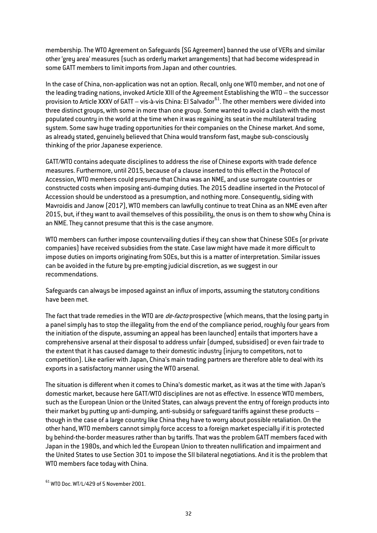membership.The WTO Agreement on Safeguards (SG Agreement) banned the use of VERs and similar other 'grey area' measures (such as orderly market arrangements) that had become widespread in some GATT members to limit imports from Japan and other countries.

In the case of China, non-application was not an option. Recall, only one WTO member, and not one of the leading trading nations, invoked Article XIII of the Agreement Establishing the WTO – the successor provision to Article XXXV of GATT – vis-à-vis China: El Salvador $^{61}$  $^{61}$  $^{61}$ . The other members were divided into three distinct groups, with some in more than one group. Some wanted to avoid a clash with the most populated country in the world at the time when it was regaining its seat in the multilateral trading system. Some saw huge trading opportunities for their companies on the Chinese market. And some, as already stated, genuinely believed that China would transform fast, maybe sub-consciously thinking of the prior Japanese experience.

GATT/WTO contains adequate disciplines to address the rise of Chinese exports with trade defence measures. Furthermore, until 2015, because of a clause inserted to this effect in the Protocol of Accession, WTO members could presume that China was an NME, and use surrogate countries or constructed costs when imposing anti-dumping duties. The 2015 deadline inserted in the Protocol of Accession should be understood as a presumption, and nothing more. Consequently, siding with Mavroidis and Janow (2017), WTO members can lawfully continue to treat China as an NME even after 2015, but, if they want to avail themselves of this possibility, the onus is on them to show why China is an NME. They cannot presume that this is the case anymore.

WTO members can further impose countervailing duties if they can show that Chinese SOEs (or private companies) have received subsidies from the state. Case law might have made it more difficult to impose duties on imports originating from SOEs, but this is a matter of interpretation. Similar issues can be avoided in the future by pre-empting judicial discretion, as we suggest in our recommendations.

Safeguards can always be imposed against an influx of imports, assuming the statutory conditions have been met.

The fact that trade remedies in the WTO are *de-facto* prospective (which means, that the losing party in a panel simply has to stop the illegality from the end of the compliance period, roughly four years from the initiation of the dispute, assuming an appeal has been launched) entails that importers have a comprehensive arsenal at their disposal to address unfair (dumped, subsidised) or even fair trade to the extent that it has caused damage to their domestic industry (injury to competitors, not to competition). Like earlier with Japan, China's main trading partners are therefore able to deal with its exports in a satisfactory manner using the WTO arsenal.

The situation is different when it comes to China's domestic market, as it was at the time with Japan's domestic market, because here GATT/WTO disciplines are not as effective. In essence WTO members, such as the European Union or the United States, can always prevent the entry of foreign products into their market by putting up anti-dumping, anti-subsidy or safeguard tariffs against these products – though in the case of a large country like China they have to worry about possible retaliation. On the other hand, WTO members cannot simply force access to a foreign market especially if it is protected by behind-the-border measures rather than by tariffs. That was the problem GATT members faced with Japan in the 1980s, and which led the European Union to threaten nullification and impairment and the United States to use Section 301 to impose the SII bilateral negotiations. And it is the problem that WTO members face today with China.

<span id="page-31-0"></span> $61$  WTO Doc. WT/L/429 of 5 November 2001.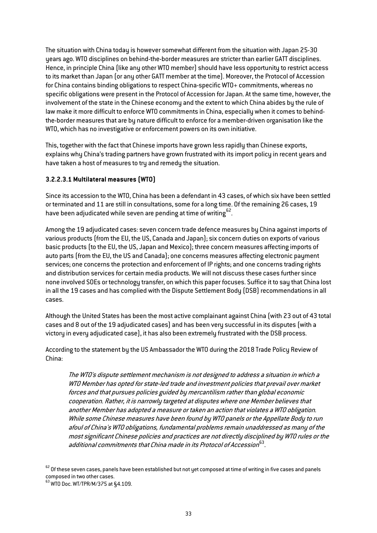The situation with China today is however somewhat different from the situation with Japan 25-30 years ago. WTO disciplines on behind-the-border measures are stricter than earlier GATT disciplines. Hence, in principle China (like any other WTO member) should have less opportunity to restrict access to its market than Japan (or any other GATT member at the time). Moreover, the Protocol of Accession for China contains binding obligations to respect China-specific WTO+ commitments, whereas no specific obligations were present in the Protocol of Accession for Japan. At the same time, however, the involvement of the state in the Chinese economy and the extent to which China abides by the rule of law make it more difficult to enforce WTO commitments in China, especially when it comes to behindthe-border measures that are by nature difficult to enforce for a member-driven organisation like the WTO, which has no investigative or enforcement powers on its own initiative.

This, together with the fact that Chinese imports have grown less rapidly than Chinese exports, explains why China's trading partners have grown frustrated with its import policy in recent years and have taken a host of measures to try and remedy the situation.

#### **3.2.2.3.1 Multilateral measures (WTO)**

Since its accession to the WTO, China has been a defendant in 43 cases, of which six have been settled or terminated and 11 are still in consultations, some for a long time. Of the remaining 26 cases, 19 have been adjudicated while seven are pending at time of writing<sup>[62](#page-32-0)</sup>.

Among the 19 adjudicated cases: seven concern trade defence measures by China against imports of various products (from the EU, the US, Canada and Japan); six concern duties on exports of various basic products (to the EU, the US, Japan and Mexico); three concern measures affecting imports of auto parts (from the EU, the US and Canada); one concerns measures affecting electronic payment services; one concerns the protection and enforcement of IP rights; and one concerns trading rights and distribution services for certain media products. We will not discuss these cases further since none involved SOEs or technology transfer, on which this paper focuses. Suffice it to say that China lost in all the 19 cases and has complied with the Dispute Settlement Body (DSB) recommendations in all cases.

Although the United States has been the most active complainant against China (with 23 out of 43 total cases and 8 out of the 19 adjudicated cases) and has been very successful in its disputes (with a victory in every adjudicated case), it has also been extremely frustrated with the DSB process.

According to the statement by the US Ambassador the WTO during the 2018 Trade Policy Review of China:

The WTO's dispute settlement mechanism is not designed to address a situation in which a WTO Member has opted for state-led trade and investment policies that prevail over market forces and that pursues policies guided by mercantilism rather than global economic cooperation. Rather, it is narrowly targeted at disputes where one Member believes that another Member has adopted a measure or taken an action that violates a WTO obligation. While some Chinese measures have been found by WTO panels or the Appellate Body to run afoul of China's WTO obligations, fundamental problems remain unaddressed as many of the most significant Chinese policies and practices are not directly disciplined by WTO rules or the additional commitments that China made in its Protocol of Accession $^{63}.$ 

<span id="page-32-0"></span> $62$  Of these seven cases, panels have been established but not yet composed at time of writing in five cases and panels composed in two other cases.<br><sup>63</sup> WTO Doc. WT/TPR/M/375 at §4.109.

<span id="page-32-1"></span>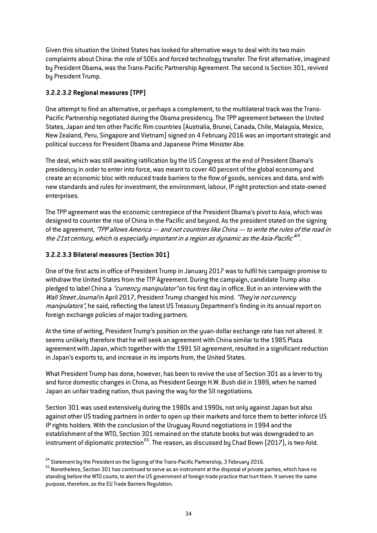Given this situation the United States has looked for alternative ways to deal with its two main complaints about China: the role of SOEs and forced technology transfer. The first alternative, imagined by President Obama, was the Trans-Pacific Partnership Agreement. The second is Section 301, revived by President Trump.

# **3.2.2.3.2 Regional measures (TPP)**

One attempt to find an alternative, or perhaps a complement, to the multilateral track was the Trans-Pacific Partnership negotiated during the Obama presidency. The TPP agreement between the United States, Japan and ten other Pacific Rim countries (Australia, Brunei, Canada, Chile, Malaysia, Mexico, New Zealand, Peru, Singapore and Vietnam) signed on 4 February 2016 was an important strategic and political success for President Obama and Japanese Prime Minister Abe.

The deal, which was still awaiting ratification by the US Congress at the end of President Obama's presidency in order to enter into force, was meant to cover 40 percent of the global economy and create an economic bloc with reduced trade barriers to the flow of goods, services and data, and with new standards and rules for investment, the environment, labour, IP right protection and state-owned enterprises.

The TPP agreement was the economic centrepiece of the President Obama's pivot to Asia, which was designed to counter the rise of China in the Pacific and beyond. As the president stated on the signing of the agreement, "TPP allows America — and not countries like China — to write the rules of the road in the 21st century, which is especially important in a region as dynamic as the Asia-Pacific  $^{b4}$ .

# **3.2.2.3.3 Bilateral measures (Section 301)**

One of the first acts in office of President Trump in January 2017 was to fulfil his campaign promise to withdraw the United States from the TTP Agreement. During the campaign, candidate Trump also pledged to label China a "*currency manipulator*" on his first day in office. But in an interview with the Wall Street Journal in April 2017, President Trump changed his mind. "They're not currency manipulators", he said, reflecting the latest US Treasury Department's finding in its annual report on foreign exchange policies of major trading partners.

At the time of writing, President Trump's position on the yuan-dollar exchange rate has not altered. It seems unlikely therefore that he will seek an agreement with China similar to the 1985 Plaza agreement with Japan, which together with the 1991 SII agreement, resulted in a significant reduction in Japan's exports to, and increase in its imports from, the United States.

What President Trump has done, however, has been to revive the use of Section 301 as a lever to try and force domestic changes in China, as President George H.W. Bush did in 1989, when he named Japan an unfair trading nation, thus paving the way for the SII negotiations.

Section 301 was used extensively during the 1980s and 1990s, not only against Japan but also against other US trading partners in order to open up their markets and force them to better inforce US IP rights holders. With the conclusion of the Uruguay Round negotiations in 1994 and the establishment of the WTO, Section 301 remained on the statute books but was downgraded to an instrument of diplomatic protection  $^{65}$ . The reason, as discussed by Chad Bown (2017), is two-fold.

<span id="page-33-1"></span><span id="page-33-0"></span> $^{64}$  Statement by the President on the Signing of the Trans-Pacific Partnership, 3 February 2016.<br> $^{65}$  Nonetheless, Section 301 has continued to serve as an instrument at the disposal of private parties, which have no standing before the WTO courts, to alert the US government of foreign trade practice that hurt them. It serves the same purpose, therefore, as the EU Trade Barriers Regulation.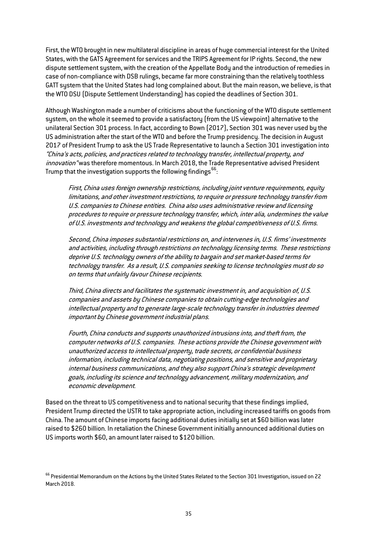First, the WTO brought in new multilateral discipline in areas of huge commercial interest for the United States, with the GATS Agreement for services and the TRIPS Agreement for IP rights. Second, the new dispute settlement system, with the creation of the Appellate Body and the introduction of remedies in case of non-compliance with DSB rulings, became far more constraining than the relatively toothless GATT system that the United States had long complained about. But the main reason, we believe, is that the WTO DSU (Dispute Settlement Understanding) has copied the deadlines of Section 301.

Although Washington made a number of criticisms about the functioning of the WTO dispute settlement system, on the whole it seemed to provide a satisfactory (from the US viewpoint) alternative to the unilateral Section 301 process. In fact, according to Bown (2017), Section 301 was never used by the US administration after the start of the WTO and before the Trump presidency. The decision in August 2017 of President Trump to ask the US Trade Representative to launch a Section 301 investigation into "China's acts, policies, and practices related to technology transfer, intellectual property, and innovation" was therefore momentous. In March 2018, the Trade Representative advised President Trump that the investigation supports the following findings  $^{66}\! :$  $^{66}\! :$  $^{66}\! :$ 

First, China uses foreign ownership restrictions, including joint venture requirements, equity limitations, and other investment restrictions, to require or pressure technology transfer from U.S. companies to Chinese entities. China also uses administrative review and licensing procedures to require or pressure technology transfer, which, inter alia, undermines the value of U.S. investments and technology and weakens the global competitiveness of U.S. firms.

Second, China imposes substantial restrictions on, and intervenes in, U.S. firms' investments and activities, including through restrictions on technology licensing terms. These restrictions deprive U.S. technology owners of the ability to bargain and set market-based terms for technology transfer. As a result, U.S. companies seeking to license technologies must do so on terms that unfairly favour Chinese recipients.

Third, China directs and facilitates the systematic investment in, and acquisition of, U.S. companies and assets by Chinese companies to obtain cutting-edge technologies and intellectual property and to generate large-scale technology transfer in industries deemed important by Chinese government industrial plans.

Fourth, China conducts and supports unauthorized intrusions into, and theft from, the computer networks of U.S. companies. These actions provide the Chinese government with unauthorized access to intellectual property, trade secrets, or confidential business information, including technical data, negotiating positions, and sensitive and proprietary internal business communications, and they also support China's strategic development goals, including its science and technology advancement, military modernization, and economic development.

Based on the threat to US competitiveness and to national security that these findings implied, President Trump directed the USTR to take appropriate action, including increased tariffs on goods from China.The amount of Chinese imports facing additional duties initially set at \$60 billion was later raised to \$260 billion. In retaliation the Chinese Government initially announced additional duties on US imports worth \$60, an amount later raised to \$120 billion.

<span id="page-34-0"></span> $^{66}$  Presidential Memorandum on the Actions by the United States Related to the Section 301 Investigation, issued on 22 March 2018.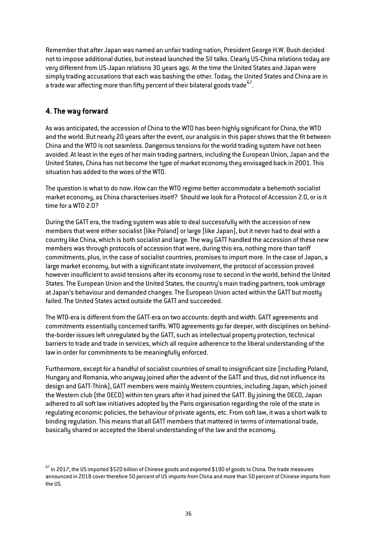Remember that after Japan was named an unfair trading nation, President George H.W. Bush decided not to impose additional duties, but instead launched the SII talks. Clearly US-China relations today are very different from US-Japan relations 30 years ago. At the time the United States and Japan were simply trading accusations that each was bashing the other. Today, the United States and China are in a trade war affecting more than fifty percent of their bilateral goods trade  $67$ .

# **4. The way forward**

As was anticipated, the accession of China to the WTO has been highly significant for China, the WTO and the world. But nearly 20 years after the event, our analysis in this paper shows that the fit between China and the WTO is not seamless. Dangerous tensions for the world trading system have not been avoided. At least in the eyes of her main trading partners, including the European Union, Japan and the United States, China has not become the type of market economy they envisaged back in 2001. This situation has added to the woes of the WTO.

The question is what to do now. How can the WTO regime better accommodate a behemoth socialist market economy, as China characterises itself? Should we look for a Protocol of Accession 2.0, or is it time for a WTO 2.0?

During the GATT era, the trading system was able to deal successfully with the accession of new members that were either socialist (like Poland) or large (like Japan), but it never had to deal with a country like China, which is both socialist and large. The way GATT handled the accession of these new members was through protocols of accession that were, during this era, nothing more than tariff commitments, plus, in the case of socialist countries, promises to import more. In the case of Japan, a large market economy, but with a significant state involvement, the protocol of accession proved however insufficient to avoid tensions after its economy rose to second in the world, behind the United States. The European Union and the United States, the country's main trading partners, took umbrage at Japan's behaviour and demanded changes. The European Union acted within the GATT but mostly failed. The United States acted outside the GATT and succeeded.

The WTO-era is different from the GATT-era on two accounts: depth and width. GATT agreements and commitments essentially concerned tariffs. WTO agreements go far deeper, with disciplines on behindthe-border issues left unregulated by the GATT, such as intellectual property protection, technical barriers to trade and trade in services, which all require adherence to the liberal understanding of the law in order for commitments to be meaningfully enforced.

Furthermore, except for a handful of socialist countries of small to insignificant size (including Poland, Hungary and Romania, who anyway joined after the advent of the GATT and thus, did not influence its design and GATT-Think), GATT members were mainly Western countries, including Japan, which joined the Western club (the OECD) within ten years after it had joined the GATT. By joining the OECD, Japan adhered to all soft law initiatives adopted by the Paris organisation regarding the role of the state in regulating economic policies, the behaviour of private agents, etc. From soft law, it was a short walk to binding regulation. This means that all GATT members that mattered in terms of international trade, basically shared or accepted the liberal understanding of the law and the economy.

<span id="page-35-0"></span> $^{67}$  In 2017, the US imported \$520 billion of Chinese goods and exported \$190 of goods to China. The trade measures announced in 2018 cover therefore 50 percent of US imports from China and more than 50 percent of Chinese imports from the US.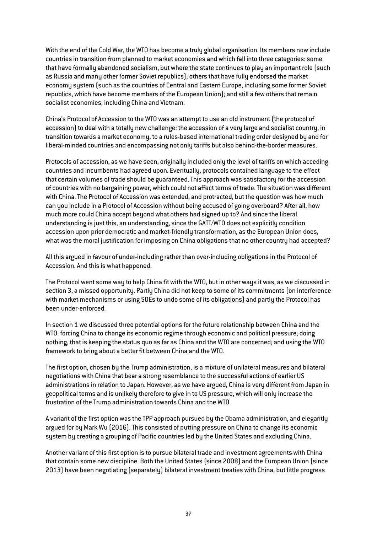With the end of the Cold War, the WTO has become a truly global organisation. Its members now include countries in transition from planned to market economies and which fall into three categories: some that have formally abandoned socialism, but where the state continues to play an important role (such as Russia and many other former Soviet republics); others that have fully endorsed the market economy system (such as the countries of Central and Eastern Europe, including some former Soviet republics, which have become members of the European Union); and still a few others that remain socialist economies, including China and Vietnam.

China's Protocol of Accession to the WTO was an attempt to use an old instrument (the protocol of accession) to deal with a totally new challenge: the accession of a very large and socialist country, in transition towards a market economy, to a rules-based international trading order designed by and for liberal-minded countries and encompassing not only tariffs but also behind-the-border measures.

Protocols of accession, as we have seen, originally included only the level of tariffs on which acceding countries and incumbents had agreed upon. Eventually, protocols contained language to the effect that certain volumes of trade should be guaranteed. This approach was satisfactory for the accession of countries with no bargaining power, which could not affect terms of trade. The situation was different with China.The Protocol of Accession was extended, and protracted, but the question was how much can you include in a Protocol of Accession without being accused of going overboard? After all, how much more could China accept beyond what others had signed up to? And since the liberal understanding is just this, an understanding, since the GATT/WTO does not explicitly condition accession upon prior democratic and market-friendly transformation, as the European Union does, what was the moral justification for imposing on China obligations that no other country had accepted?

All this argued in favour of under-including rather than over-including obligations in the Protocol of Accession. And this is what happened.

The Protocol went some way to help China fit with the WTO, but in other ways it was, as we discussed in section 3, a missed opportunity. Partly China did not keep to some of its commitments (on interference with market mechanisms or using SOEs to undo some of its obligations) and partly the Protocol has been under-enforced.

In section 1 we discussed three potential options for the future relationship between China and the WTO: forcing China to change its economic regime through economic and political pressure; doing nothing, that is keeping the status quo as far as China and the WTO are concerned; and using the WTO framework to bring about a better fit between China and the WTO.

The first option, chosen by the Trump administration, is a mixture of unilateral measures and bilateral negotiations with China that bear a strong resemblance to the successful actions of earlier US administrations in relation to Japan. However, as we have argued, China is very different from Japan in geopolitical terms and is unlikely therefore to give in to US pressure, which will only increase the frustration of the Trump administration towards China and the WTO.

A variant of the first option was the TPP approach pursued by the Obama administration, and elegantly argued for by Mark Wu (2016). This consisted of putting pressure on China to change its economic system by creating a grouping of Pacific countries led by the United States and excluding China.

Another variant of this first option is to pursue bilateral trade and investment agreements with China that contain some new discipline. Both the United States (since 2008) and the European Union (since 2013) have been negotiating (separately) bilateral investment treaties with China, but little progress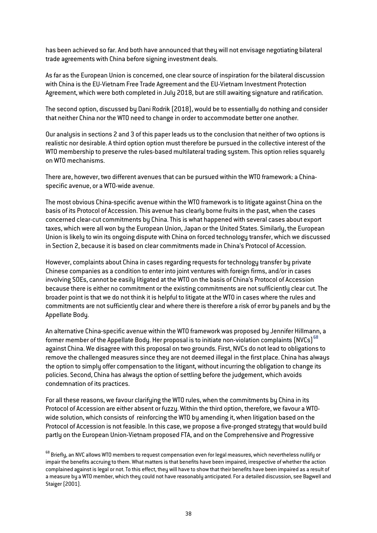has been achieved so far. And both have announced that they will not envisage negotiating bilateral trade agreements with China before signing investment deals.

As far as the European Union is concerned, one clear source of inspiration for the bilateral discussion with China is the EU-Vietnam Free Trade Agreement and the EU-Vietnam Investment Protection Agreement, which were both completed in July 2018, but are still awaiting signature and ratification.

The second option, discussed by Dani Rodrik (2018), would be to essentially do nothing and consider that neither China nor the WTO need to change in order to accommodate better one another.

Our analysis in sections 2 and 3 of this paper leads us to the conclusion that neither of two options is realistic nor desirable. A third option option must therefore be pursued in the collective interest of the WTO membership to preserve the rules-based multilateral trading system. This option relies squarely on WTO mechanisms.

There are, however, two different avenues that can be pursued within the WTO framework: a Chinaspecific avenue, or a WTO-wide avenue.

The most obvious China-specific avenue within the WTO framework is to litigate against China on the basis of its Protocol of Accession. This avenue has clearly borne fruits in the past, when the cases concerned clear-cut commitments by China. This is what happened with several cases about export taxes, which were all won by the European Union, Japan or the United States. Similarly, the European Union is likely to win its ongoing dispute with China on forced technology transfer, which we discussed in Section 2, because it is based on clear commitments made in China's Protocol of Accession.

However, complaints about China in cases regarding requests for technology transfer by private Chinese companies as a condition to enter into joint ventures with foreign firms, and/or in cases involving SOEs, cannot be easily litigated at the WTO on the basis of China's Protocol of Accession because there is either no commitment or the existing commitments are not sufficiently clear cut. The broader point is that we do not think it is helpful to litigate at the WTO in cases where the rules and commitments are not sufficiently clear and where there is therefore a risk of error by panels and by the Appellate Body.

An alternative China-specific avenue within the WTO framework was proposed by Jennifer Hillmann, a former member of the Appellate Body. Her proposal is to initiate non-violation complaints  $[NVCs]^{68}$  $[NVCs]^{68}$  $[NVCs]^{68}$ against China. We disagree with this proposal on two grounds. First, NVCs do not lead to obligations to remove the challenged measures since they are not deemed illegal in the first place. China has always the option to simply offer compensation to the litigant, without incurring the obligation to change its policies. Second, China has always the option of settling before the judgement, which avoids condemnation of its practices.

For all these reasons, we favour clarifying the WTO rules, when the commitments by China in its Protocol of Accession are either absent or fuzzy. Within the third option, therefore, we favour a WTOwide solution, which consists of reinforcing the WTO by amending it, when litigation based on the Protocol of Accession is not feasible. In this case, we propose a five-pronged strategy that would build partly on the European Union-Vietnam proposed FTA, and on the Comprehensive and Progressive

<span id="page-37-0"></span> $^{68}$  Brieflu, an NVC allows WTO members to request compensation even for legal measures, which nevertheless nullify or impair the benefits accruing to them. What matters is that benefits have been impaired, irrespective of whether the action complained against is legal or not. To this effect, they will have to show that their benefits have been impaired as a result of a measure by a WTO member, which they could not have reasonably anticipated. For a detailed discussion, see Bagwell and Staiger (2001).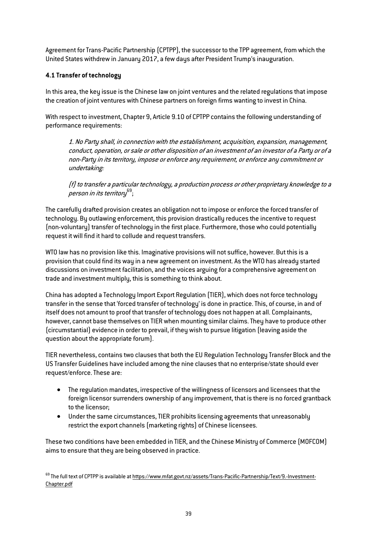Agreement for Trans-Pacific Partnership (CPTPP), the successor to the TPP agreement, from which the United States withdrew in January 2017, a few days after President Trump's inauguration.

### **4.1 Transfer of technology**

In this area, the key issue is the Chinese law on joint ventures and the related regulations that impose the creation of joint ventures with Chinese partners on foreign firms wanting to invest in China.

With respect to investment, Chapter 9, Article 9.10 of CPTPP contains the following understanding of performance requirements:

1. No Party shall, in connection with the establishment, acquisition, expansion, management, conduct, operation, or sale or other disposition of an investment of an investor of a Party or of a non-Party in its territory, impose or enforce any requirement, or enforce any commitment or undertaking:

(f) to transfer a particular technology, a production process or other proprietary knowledge to a  $\overline{p}$ erson in its territory $^{69}$  $^{69}$  $^{69}$ ;

The carefully drafted provision creates an obligation not to impose or enforce the forced transfer of technology. By outlawing enforcement, this provision drastically reduces the incentive to request (non-voluntary) transfer of technology in the first place. Furthermore, those who could potentially request it will find it hard to collude and request transfers.

WTO law has no provision like this. Imaginative provisions will not suffice, however. But this is a provision that could find its way in a new agreement on investment. As the WTO has already started discussions on investment facilitation, and the voices arguing for a comprehensive agreement on trade and investment multiply, this is something to think about.

China has adopted a Technology Import Export Regulation (TIER), which does not force technology transfer in the sense that 'forced transfer of technology' is done in practice. This, of course, in and of itself does not amount to proof that transfer of technology does not happen at all. Complainants, however, cannot base themselves on TIER when mounting similar claims. They have to produce other (circumstantial) evidence in order to prevail, if they wish to pursue litigation (leaving aside the question about the appropriate forum).

TIER nevertheless, contains two clauses that both the EU Regulation Technology Transfer Block and the US Transfer Guidelines have included among the nine clauses that no enterprise/state should ever request/enforce.These are:

- The regulation mandates, irrespective of the willingness of licensors and licensees that the foreign licensor surrenders ownership of any improvement, that is there is no forced grantback to the licensor;
- Under the same circumstances, TIER prohibits licensing agreements that unreasonably restrict the export channels (marketing rights) of Chinese licensees.

These two conditions have been embedded in TIER, and the Chinese Ministry of Commerce (MOFCOM) aims to ensure that they are being observed in practice.

<span id="page-38-0"></span><sup>69</sup> The full text of CPTPP is available a[t https://www.mfat.govt.nz/assets/Trans-Pacific-Partnership/Text/9.-Investment-](https://www.mfat.govt.nz/assets/Trans-Pacific-Partnership/Text/9.-Investment-Chapter.pdf)[Chapter.pdf](https://www.mfat.govt.nz/assets/Trans-Pacific-Partnership/Text/9.-Investment-Chapter.pdf)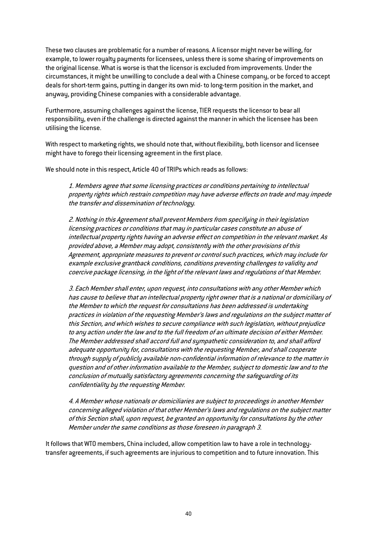These two clauses are problematic for a number of reasons. A licensor might never be willing, for example, to lower royalty payments for licensees, unless there is some sharing of improvements on the original license. What is worse is that the licensor is excluded from improvements. Under the circumstances, it might be unwilling to conclude a deal with a Chinese company, or be forced to accept deals for short-term gains, putting in danger its own mid- to long-term position in the market, and anyway, providing Chinese companies with a considerable advantage.

Furthermore, assuming challenges against the license, TIER requests the licensor to bear all responsibility, even if the challenge is directed against the manner in which the licensee has been utilising the license.

With respect to marketing rights, we should note that, without flexibility, both licensor and licensee might have to forego their licensing agreement in the first place.

We should note in this respect, Article 40 of TRIPs which reads as follows:

1. Members agree that some licensing practices or conditions pertaining to intellectual property rights which restrain competition may have adverse effects on trade and may impede the transfer and dissemination of technology.

2. Nothing in this Agreement shall prevent Members from specifying in their legislation licensing practices or conditions that may in particular cases constitute an abuse of intellectual property rights having an adverse effect on competition in the relevant market. As provided above, a Member may adopt, consistently with the other provisions of this Agreement, appropriate measures to prevent or control such practices, which may include for example exclusive grantback conditions, conditions preventing challenges to validity and coercive package licensing, in the light of the relevant laws and regulations of that Member.

3. Each Member shall enter, upon request, into consultations with any other Member which has cause to believe that an intellectual property right owner that is a national or domiciliary of the Member to which the request for consultations has been addressed is undertaking practices in violation of the requesting Member's laws and regulations on the subject matter of this Section, and which wishes to secure compliance with such legislation, without prejudice to any action under the law and to the full freedom of an ultimate decision of either Member. The Member addressed shall accord full and sympathetic consideration to, and shall afford adequate opportunity for, consultations with the requesting Member, and shall cooperate through supply of publicly available non-confidential information of relevance to the matter in question and of other information available to the Member, subject to domestic law and to the conclusion of mutually satisfactory agreements concerning the safeguarding of its confidentiality by the requesting Member.

4. A Member whose nationals or domiciliaries are subject to proceedings in another Member concerning alleged violation of that other Member's laws and regulations on the subject matter of this Section shall, upon request, be granted an opportunity for consultations by the other Member under the same conditions as those foreseen in paragraph 3.

It follows that WTO members, China included, allow competition law to have a role in technologytransfer agreements, if such agreements are injurious to competition and to future innovation.This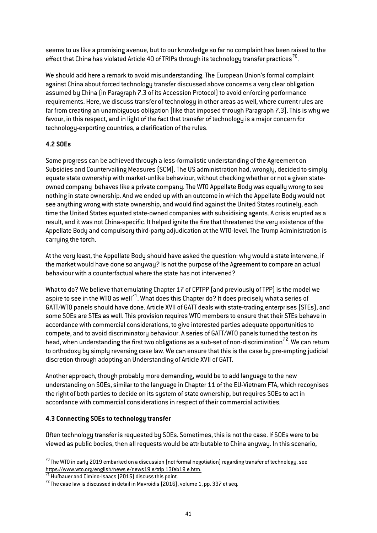seems to us like a promising avenue, but to our knowledge so far no complaint has been raised to the effect that China has violated Article 40 of TRIPs through its technology transfer practices<sup>70</sup>.

We should add here a remark to avoid misunderstanding. The European Union's formal complaint against China about forced technology transfer discussed above concerns a very clear obligation assumed by China (in Paragraph 7.3 of its Accession Protocol) to avoid enforcing performance requirements. Here, we discuss transfer of technology in other areas as well, where current rules are far from creating an unambiguous obligation (like that imposed through Paragraph 7.3). This is why we favour, in this respect, and in light of the fact that transfer of technology is a major concern for technology-exporting countries, a clarification of the rules.

# **4.2 SOEs**

Some progress can be achieved through a less-formalistic understanding of the Agreement on Subsidies and Countervailing Measures (SCM). The US administration had, wrongly, decided to simply equate state ownership with market-unlike behaviour, without checking whether or not a given stateowned company behaves like a private company. The WTO Appellate Body was equally wrong to see nothing in state ownership. And we ended up with an outcome in which the Appellate Body would not see anything wrong with state ownership, and would find against the United States routinely, each time the United States equated state-owned companies with subsidising agents. A crisis erupted as a result, and it was not China-specific. It helped ignite the fire that threatened the very existence of the Appellate Body and compulsory third-party adjudication at the WTO-level. The Trump Administration is carrying the torch.

At the very least, the Appellate Body should have asked the question: why would a state intervene, if the market would have done so anyway? Is not the purpose of the Agreement to compare an actual behaviour with a counterfactual where the state has not intervened?

What to do? We believe that emulating Chapter 17 of CPTPP (and previously of TPP) is the model we aspire to see in the WTO as well<sup>71</sup>. What does this Chapter do? It does precisely what a series of GATT/WTO panels should have done. Article XVII of GATT deals with state-trading enterprises (STEs), and some SOEs are STEs as well. This provision requires WTO members to ensure that their STEs behave in accordance with commercial considerations, to give interested parties adequate opportunities to compete, and to avoid discriminatory behaviour. A series of GATT/WTO panels turned the test on its head, when understanding the first two obligations as a sub-set of non-discrimination<sup>[72](#page-40-2)</sup>. We can return to orthodoxy by simply reversing case law. We can ensure that this is the case by pre-empting judicial discretion through adopting an Understanding of Article XVII of GATT.

Another approach, though probably more demanding, would be to add language to the new understanding on SOEs, similar to the language in Chapter 11 of the EU-Vietnam FTA, which recognises the right of both parties to decide on its system of state ownership, but requires SOEs to act in accordance with commercial considerations in respect of their commercial activities.

# **4.3 Connecting SOEs to technology transfer**

Often technology transfer is requested by SOEs. Sometimes, this is not the case. If SOEs were to be viewed as public bodies, then all requests would be attributable to China anyway. In this scenario,

<span id="page-40-0"></span><sup>&</sup>lt;sup>70</sup> The WTO in early 2019 embarked on a discussion (not formal negotiation) regarding transfer of technology, see<br>https://www.wto.org/english/news\_e/news19\_e/trip\_13feb19\_e.htm.

<span id="page-40-2"></span><span id="page-40-1"></span><sup>&</sup>lt;sup>[71](https://www.wto.org/english/news_e/news19_e/trip_13feb19_e.htm)</sup> Hufbauer and Cimino-Isaacs (2015) discuss this point. <sup>72</sup> The case law is discussed in detail in Mavroidis (2016), volume 1, pp. 397 et seq.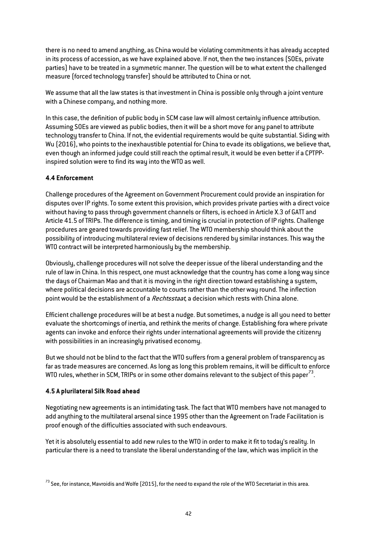there is no need to amend anything, as China would be violating commitments it has already accepted in its process of accession, as we have explained above. If not, then the two instances (SOEs, private parties) have to be treated in a symmetric manner. The question will be to what extent the challenged measure (forced technology transfer) should be attributed to China or not.

We assume that all the law states is that investment in China is possible only through a joint venture with a Chinese company, and nothing more.

In this case, the definition of public body in SCM case law will almost certainly influence attribution. Assuming SOEs are viewed as public bodies, then it will be a short move for any panel to attribute technology transfer to China. If not, the evidential requirements would be quite substantial. Siding with Wu (2016), who points to the inexhaustible potential for China to evade its obligations, we believe that, even though an informed judge could still reach the optimal result, it would be even better if a CPTPPinspired solution were to find its way into the WTO as well.

# **4.4 Enforcement**

Challenge procedures of the Agreement on Government Procurement could provide an inspiration for disputes over IP rights. To some extent this provision, which provides private parties with a direct voice without having to pass through government channels or filters, is echoed in Article X.3 of GATT and Article 41.5 of TRIPs. The difference is timing, and timing is crucial in protection of IP rights. Challenge procedures are geared towards providing fast relief. The WTO membership should think about the possibility of introducing multilateral review of decisions rendered by similar instances. This way the WTO contract will be interpreted harmoniously by the membership.

Obviously, challenge procedures will not solve the deeper issue of the liberal understanding and the rule of law in China. In this respect, one must acknowledge that the country has come a long way since the days of Chairman Mao and that it is moving in the right direction toward establishing a system, where political decisions are accountable to courts rather than the other way round. The inflection point would be the establishment of a *Rechtsstaat*, a decision which rests with China alone.

Efficient challenge procedures will be at best a nudge. But sometimes, a nudge is all you need to better evaluate the shortcomings of inertia, and rethink the merits of change. Establishing fora where private agents can invoke and enforce their rights under international agreements will provide the citizenry with possibilities in an increasingly privatised economy.

But we should not be blind to the fact that the WTO suffers from a general problem of transparency as far as trade measures are concerned. As long as long this problem remains, it will be difficult to enforce WTO rules, whether in SCM, TRIPs or in some other domains relevant to the subject of this paper<sup>[73](#page-41-0)</sup>.

#### **4.5 A plurilateral Silk Road ahead**

Negotiating new agreements is an intimidating task. The fact that WTO members have not managed to add anything to the multilateral arsenal since 1995 other than the Agreement on Trade Facilitation is proof enough of the difficulties associated with such endeavours.

Yet it is absolutely essential to add new rules to the WTO in order to make it fit to today's reality. In particular there is a need to translate the liberal understanding of the law, which was implicit in the

<span id="page-41-0"></span> $^{73}$  See, for instance, Mavroidis and Wolfe (2015), for the need to expand the role of the WTO Secretariat in this area.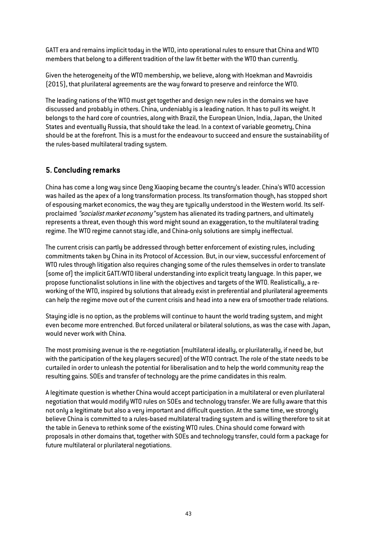GATT era and remains implicit today in the WTO, into operational rules to ensure that China and WTO members that belong to a different tradition of the law fit better with the WTO than currently.

Given the heterogeneity of the WTO membership, we believe, along with Hoekman and Mavroidis (2015), that plurilateral agreements are the way forward to preserve and reinforce the WTO.

The leading nations of the WTO must get together and design new rules in the domains we have discussed and probably in others. China, undeniably is a leading nation. It has to pull its weight. It belongs to the hard core of countries, along with Brazil, the European Union, India, Japan, the United States and eventually Russia, that should take the lead. In a context of variable geometry, China should be at the forefront. This is a must for the endeavour to succeed and ensure the sustainability of the rules-based multilateral trading system.

# **5. Concluding remarks**

China has come a long way since Deng Xiaoping became the country's leader. China's WTO accession was hailed as the apex of a long transformation process. Its transformation though, has stopped short of espousing market economics, the way they are typically understood in the Western world. Its selfproclaimed "socialist market economy" system has alienated its trading partners, and ultimately represents a threat, even though this word might sound an exaggeration, to the multilateral trading regime. The WTO regime cannot stay idle, and China-only solutions are simply ineffectual.

The current crisis can partly be addressed through better enforcement of existing rules, including commitments taken by China in its Protocol of Accession. But, in our view, successful enforcement of WTO rules through litigation also requires changing some of the rules themselves in order to translate (some of) the implicit GATT/WTO liberal understanding into explicit treaty language. In this paper, we propose functionalist solutions in line with the objectives and targets of the WTO. Realistically, a reworking of the WTO, inspired by solutions that already exist in preferential and plurilateral agreements can help the regime move out of the current crisis and head into a new era of smoother trade relations.

Staying idle is no option, as the problems will continue to haunt the world trading system, and might even become more entrenched. But forced unilateral or bilateral solutions, as was the case with Japan, would never work with China.

The most promising avenue is the re-negotiation (multilateral ideally, or plurilaterally, if need be, but with the participation of the key players secured) of the WTO contract. The role of the state needs to be curtailed in order to unleash the potential for liberalisation and to help the world community reap the resulting gains. SOEs and transfer of technology are the prime candidates in this realm.

A legitimate question is whether China would accept participation in a multilateral or even plurilateral negotiation that would modify WTO rules on SOEs and technology transfer. We are fully aware that this not only a legitimate but also a very important and difficult question. At the same time, we strongly believe China is committed to a rules-based multilateral trading system and is willing therefore to sit at the table in Geneva to rethink some of the existing WTO rules. China should come forward with proposals in other domains that, together with SOEs and technology transfer, could form a package for future multilateral or plurilateral negotiations.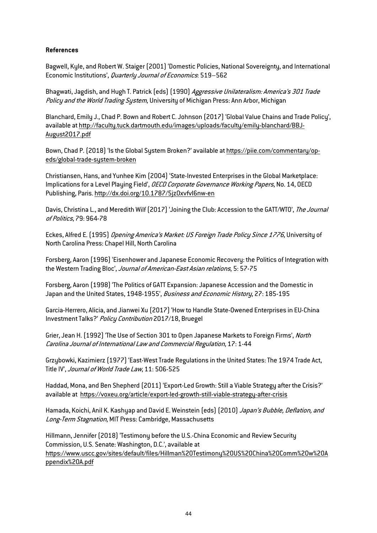#### **References**

Bagwell, Kyle, and Robert W. Staiger (2001) 'Domestic Policies, National Sovereignty, and International Economic Institutions', Quarterly Journal of Economics: 519–562

Bhagwati, Jagdish, and Hugh T. Patrick (eds) (1990) Aggressive Unilateralism: America's 301 Trade Policy and the World Trading System, University of Michigan Press: Ann Arbor, Michigan

Blanchard, Emily J., Chad P. Bown and Robert C. Johnson (2017) 'Global Value Chains and Trade Policy', available at http://faculty.tuck.dartmouth.edu/images/uploads/faculty/emily-blanchard/BBJ-August2017.pdf

Bown, Chad P. (2018) 'Is the Global System Broken?' available at https://piie.com/commentary/opeds/global-trade-system-broken

Christiansen, Hans, and Yunhee Kim (2004) 'State-Invested Enterprises in the Global Marketplace: Implications for a Level Playing Field', OECD Corporate Governance Working Papers, No. 14, OECD Publishing, Paris. http://dx.doi.org/10.1787/5jz0xvfvl6nw-en

Davis, Christina L., and Meredith Wilf (2017) 'Joining the Club: Accession to the GATT/WTO', The Journal of Politics, 79: 964-78

Eckes, Alfred E. (1995) Opening America's Market: US Foreign Trade Policy Since 1776, University of North Carolina Press: Chapel Hill, North Carolina

Forsberg, Aaron (1996) 'Eisenhower and Japanese Economic Recovery: the Politics of Integration with the Western Trading Bloc', Journal of American-East Asian relations, 5: 57-75

Forsberg, Aaron (1998) 'The Politics of GATT Expansion: Japanese Accession and the Domestic in Japan and the United States, 1948-1955', Business and Economic History, 27: 185-195

Garcia-Herrero, Alicia, and Jianwei Xu (2017) 'How to Handle State-Owened Enterprises in EU-China Investment Talks?' Policy Contribution 2017/18, Bruegel

Grier, Jean H. (1992) 'The Use of Section 301 to Open Japanese Markets to Foreign Firms', North Carolina Journal of International Law and Commercial Regulation, 17: 1-44

Grzybowki, Kazimierz (1977) 'East-West Trade Regulations in the United States: The 1974 Trade Act, Title IV', Journal of World Trade Law, 11: 506-525

Haddad, Mona, and Ben Shepherd (2011) 'Export-Led Growth: Still a Viable Strategy after the Crisis?' available at https://voxeu.org/article/export-led-growth-still-viable-strategy-after-crisis

Hamada, Koichi, Anil K. Kashyap and David E. Weinstein (eds) (2010) Japan's Bubble, Deflation, and Long-Term Stagnation, MIT Press: Cambridge, Massachusetts

Hillmann, Jennifer (2018) 'Testimony before the U.S.-China Economic and Review Security Commission, U.S. Senate: Washington, D.C.', available at https://www.uscc.gov/sites/default/files/Hillman%20Testimony%20US%20China%20Comm%20w%20A ppendix%20A.pdf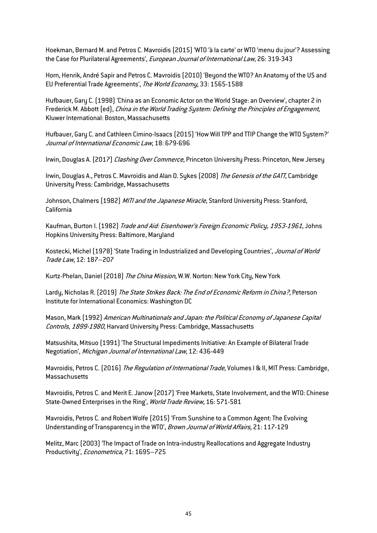Hoekman, Bernard M. and Petros C. Mavroidis (2015) 'WTO 'à la carte' or WTO 'menu du jour'? Assessing the Case for Plurilateral Agreements', European Journal of International Law, 26: 319-343

Horn, Henrik, André Sapir and Petros C. Mavroidis (2010) 'Beyond the WTO? An Anatomy of the US and EU Preferential Trade Agreements', The World Economy, 33: 1565-1588

Hufbauer, Gary C. (1998) 'China as an Economic Actor on the World Stage: an Overview', chapter 2 in Frederick M. Abbott (ed), China in the World Trading System: Defining the Principles of Engagement, Kluwer International: Boston, Massachusetts

Hufbauer, Gary C. and Cathleen Cimino-Isaacs (2015) 'How Will TPP and TTIP Change the WTO System?' Journal of International Economic Law, 18: 679-696

Irwin, Douglas A. (2017) Clashing Over Commerce, Princeton University Press: Princeton, New Jersey

Irwin, Douglas A., Petros C. Mavroidis and Alan O. Sykes (2008) The Genesis of the GATT, Cambridge University Press: Cambridge, Massachusetts

Johnson, Chalmers (1982) MITI and the Japanese Miracle, Stanford University Press: Stanford, California

Kaufman, Burton I. (1982) Trade and Aid: Eisenhower's Foreign Economic Policy, 1953-1961, Johns Hopkins University Press: Baltimore, Maryland

Kostecki, Michel (1978) 'State Trading in Industrialized and Developing Countries', Journal of World Trade Law, 12: 187–207

Kurtz-Phelan, Daniel (2018) The China Mission, W.W. Norton: New York City, New York

Lardy, Nicholas R. (2019) The State Strikes Back: The End of Economic Reform in China?, Peterson Institute for International Economics: Washington DC

Mason, Mark (1992) American Multinationals and Japan: the Political Economy of Japanese Capital Controls, 1899-1980, Harvard University Press: Cambridge, Massachusetts

Matsushita, Mitsuo (1991) 'The Structural Impediments Initiative: An Example of Bilateral Trade Negotiation', Michigan Journal of International Law, 12: 436-449

Mavroidis, Petros C. (2016) The Regulation of International Trade, Volumes I & II, MIT Press: Cambridge, Massachusetts

Mavroidis, Petros C. and Merit E. Janow (2017) 'Free Markets, State Involvement, and the WTO: Chinese State-Owned Enterprises in the Ring', World Trade Review, 16: 571-581

Mavroidis, Petros C. and Robert Wolfe (2015) 'From Sunshine to a Common Agent: The Evolving Understanding of Transparency in the WTO', Brown Journal of World Affairs, 21: 117-129

Melitz, Marc (2003) 'The Impact of Trade on Intra-industry Reallocations and Aggregate Industry Productivity', Econometrica, 71: 1695–725